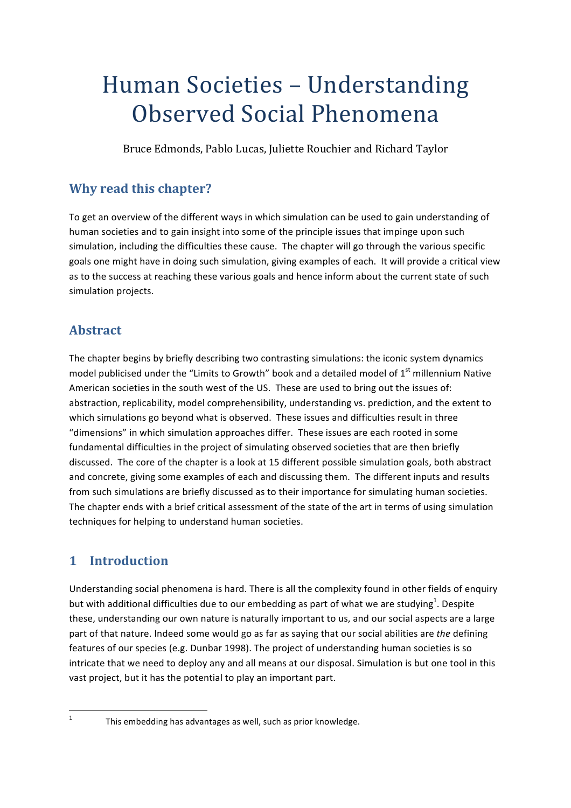# Human Societies - Understanding Observed Social Phenomena

Bruce Edmonds, Pablo Lucas, Juliette Rouchier and Richard Taylor

# **Why read this chapter?**

To get an overview of the different ways in which simulation can be used to gain understanding of human societies and to gain insight into some of the principle issues that impinge upon such simulation, including the difficulties these cause. The chapter will go through the various specific goals one might have in doing such simulation, giving examples of each. It will provide a critical view as to the success at reaching these various goals and hence inform about the current state of such simulation projects.

# **Abstract**

The chapter begins by briefly describing two contrasting simulations: the iconic system dynamics model publicised under the "Limits to Growth" book and a detailed model of  $1<sup>st</sup>$  millennium Native American societies in the south west of the US. These are used to bring out the issues of: abstraction, replicability, model comprehensibility, understanding vs. prediction, and the extent to which simulations go beyond what is observed. These issues and difficulties result in three "dimensions" in which simulation approaches differ. These issues are each rooted in some fundamental difficulties in the project of simulating observed societies that are then briefly discussed. The core of the chapter is a look at 15 different possible simulation goals, both abstract and concrete, giving some examples of each and discussing them. The different inputs and results from such simulations are briefly discussed as to their importance for simulating human societies. The chapter ends with a brief critical assessment of the state of the art in terms of using simulation techniques for helping to understand human societies.

# **1 Introduction**

Understanding social phenomena is hard. There is all the complexity found in other fields of enquiry but with additional difficulties due to our embedding as part of what we are studying<sup>1</sup>. Despite these, understanding our own nature is naturally important to us, and our social aspects are a large part of that nature. Indeed some would go as far as saying that our social abilities are *the* defining features of our species (e.g. Dunbar 1998). The project of understanding human societies is so intricate that we need to deploy any and all means at our disposal. Simulation is but one tool in this vast project, but it has the potential to play an important part.

<sup>############################################################</sup>

<sup>&</sup>lt;sup>1</sup> This embedding has advantages as well, such as prior knowledge.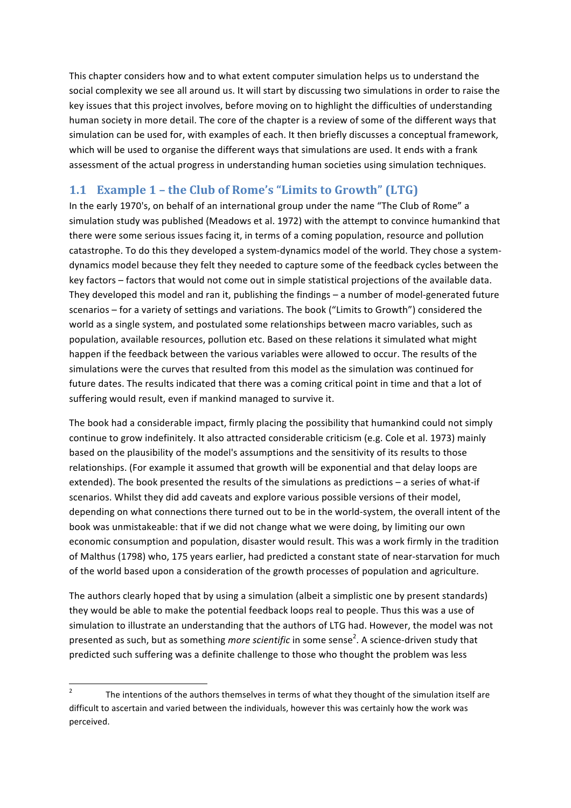This chapter considers how and to what extent computer simulation helps us to understand the social complexity we see all around us. It will start by discussing two simulations in order to raise the key issues that this project involves, before moving on to highlight the difficulties of understanding human society in more detail. The core of the chapter is a review of some of the different ways that simulation can be used for, with examples of each. It then briefly discusses a conceptual framework, which will be used to organise the different ways that simulations are used. It ends with a frank assessment of the actual progress in understanding human societies using simulation techniques.

# **1.1 Example 1 – the Club of Rome's "Limits to Growth" (LTG)**

In the early 1970's, on behalf of an international group under the name "The Club of Rome" a simulation study was published (Meadows et al. 1972) with the attempt to convince humankind that there were some serious issues facing it, in terms of a coming population, resource and pollution catastrophe. To do this they developed a system-dynamics model of the world. They chose a systemdynamics model because they felt they needed to capture some of the feedback cycles between the key factors – factors that would not come out in simple statistical projections of the available data. They developed this model and ran it, publishing the findings – a number of model-generated future scenarios – for a variety of settings and variations. The book ("Limits to Growth") considered the world as a single system, and postulated some relationships between macro variables, such as population, available resources, pollution etc. Based on these relations it simulated what might happen if the feedback between the various variables were allowed to occur. The results of the simulations were the curves that resulted from this model as the simulation was continued for future dates. The results indicated that there was a coming critical point in time and that a lot of suffering would result, even if mankind managed to survive it.

The book had a considerable impact, firmly placing the possibility that humankind could not simply continue to grow indefinitely. It also attracted considerable criticism (e.g. Cole et al. 1973) mainly based on the plausibility of the model's assumptions and the sensitivity of its results to those relationships. (For example it assumed that growth will be exponential and that delay loops are extended). The book presented the results of the simulations as predictions – a series of what-if scenarios. Whilst they did add caveats and explore various possible versions of their model, depending on what connections there turned out to be in the world-system, the overall intent of the book was unmistakeable: that if we did not change what we were doing, by limiting our own economic consumption and population, disaster would result. This was a work firmly in the tradition of Malthus (1798) who, 175 years earlier, had predicted a constant state of near-starvation for much of the world based upon a consideration of the growth processes of population and agriculture.

The authors clearly hoped that by using a simulation (albeit a simplistic one by present standards) they would be able to make the potential feedback loops real to people. Thus this was a use of simulation to illustrate an understanding that the authors of LTG had. However, the model was not presented as such, but as something *more scientific* in some sense<sup>2</sup>. A science-driven study that predicted such suffering was a definite challenge to those who thought the problem was less

<sup>&</sup>lt;sup>2</sup> The intentions of the authors themselves in terms of what they thought of the simulation itself are difficult to ascertain and varied between the individuals, however this was certainly how the work was perceived.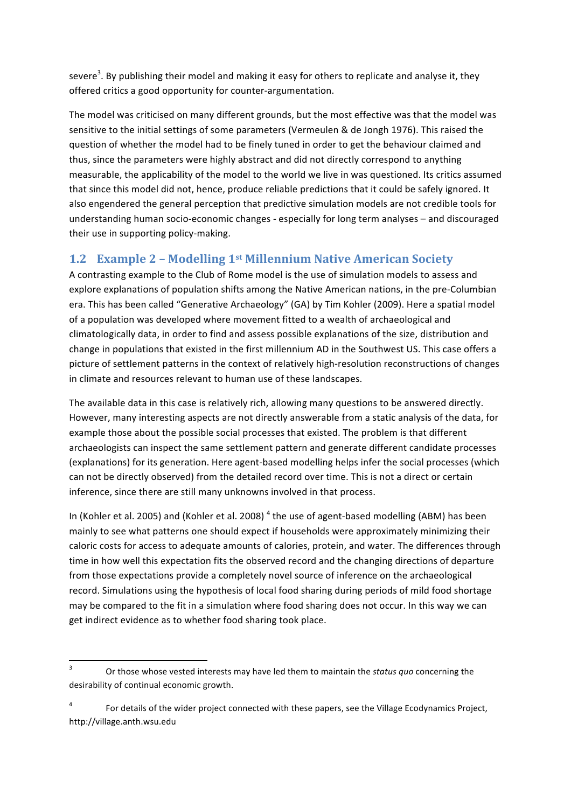severe<sup>3</sup>. By publishing their model and making it easy for others to replicate and analyse it, they offered critics a good opportunity for counter-argumentation.

The model was criticised on many different grounds, but the most effective was that the model was sensitive to the initial settings of some parameters (Vermeulen & de Jongh 1976). This raised the question of whether the model had to be finely tuned in order to get the behaviour claimed and thus, since the parameters were highly abstract and did not directly correspond to anything measurable, the applicability of the model to the world we live in was questioned. Its critics assumed that since this model did not, hence, produce reliable predictions that it could be safely ignored. It also engendered the general perception that predictive simulation models are not credible tools for understanding human socio-economic changes - especially for long term analyses – and discouraged their use in supporting policy-making.

# **1.2 Example 2 - Modelling 1st Millennium Native American Society**

A contrasting example to the Club of Rome model is the use of simulation models to assess and explore explanations of population shifts among the Native American nations, in the pre-Columbian era. This has been called "Generative Archaeology" (GA) by Tim Kohler (2009). Here a spatial model of a population was developed where movement fitted to a wealth of archaeological and climatologically data, in order to find and assess possible explanations of the size, distribution and change in populations that existed in the first millennium AD in the Southwest US. This case offers a picture of settlement patterns in the context of relatively high-resolution reconstructions of changes in climate and resources relevant to human use of these landscapes.

The available data in this case is relatively rich, allowing many questions to be answered directly. However, many interesting aspects are not directly answerable from a static analysis of the data, for example those about the possible social processes that existed. The problem is that different archaeologists can inspect the same settlement pattern and generate different candidate processes (explanations) for its generation. Here agent-based modelling helps infer the social processes (which can not be directly observed) from the detailed record over time. This is not a direct or certain inference, since there are still many unknowns involved in that process.

In (Kohler et al. 2005) and (Kohler et al. 2008)  $^4$  the use of agent-based modelling (ABM) has been mainly to see what patterns one should expect if households were approximately minimizing their caloric costs for access to adequate amounts of calories, protein, and water. The differences through time in how well this expectation fits the observed record and the changing directions of departure from those expectations provide a completely novel source of inference on the archaeological record. Simulations using the hypothesis of local food sharing during periods of mild food shortage may be compared to the fit in a simulation where food sharing does not occur. In this way we can get indirect evidence as to whether food sharing took place.

<sup>&</sup>lt;sup>3</sup> Or those whose vested interests may have led them to maintain the *status quo* concerning the desirability of continual economic growth.

For details of the wider project connected with these papers, see the Village Ecodynamics Project, http://village.anth.wsu.edu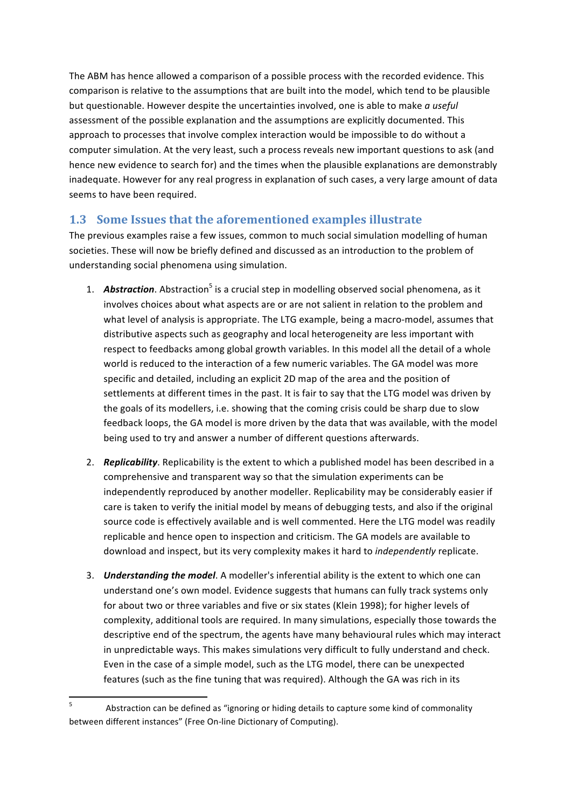The ABM has hence allowed a comparison of a possible process with the recorded evidence. This comparison is relative to the assumptions that are built into the model, which tend to be plausible but questionable. However despite the uncertainties involved, one is able to make *a useful* assessment of the possible explanation and the assumptions are explicitly documented. This approach to processes that involve complex interaction would be impossible to do without a computer simulation. At the very least, such a process reveals new important questions to ask (and hence new evidence to search for) and the times when the plausible explanations are demonstrably inadequate. However for any real progress in explanation of such cases, a very large amount of data seems to have been required.

### **1.3** Some Issues that the aforementioned examples illustrate

The previous examples raise a few issues, common to much social simulation modelling of human societies. These will now be briefly defined and discussed as an introduction to the problem of understanding social phenomena using simulation.

- 1. *Abstraction*. Abstraction<sup>5</sup> is a crucial step in modelling observed social phenomena, as it involves choices about what aspects are or are not salient in relation to the problem and what level of analysis is appropriate. The LTG example, being a macro-model, assumes that distributive aspects such as geography and local heterogeneity are less important with respect to feedbacks among global growth variables. In this model all the detail of a whole world is reduced to the interaction of a few numeric variables. The GA model was more specific and detailed, including an explicit 2D map of the area and the position of settlements at different times in the past. It is fair to say that the LTG model was driven by the goals of its modellers, i.e. showing that the coming crisis could be sharp due to slow feedback loops, the GA model is more driven by the data that was available, with the model being used to try and answer a number of different questions afterwards.
- 2. **Replicability**. Replicability is the extent to which a published model has been described in a comprehensive and transparent way so that the simulation experiments can be independently reproduced by another modeller. Replicability may be considerably easier if care is taken to verify the initial model by means of debugging tests, and also if the original source code is effectively available and is well commented. Here the LTG model was readily replicable and hence open to inspection and criticism. The GA models are available to download and inspect, but its very complexity makes it hard to *independently* replicate.
- 3. **Understanding the model**. A modeller's inferential ability is the extent to which one can understand one's own model. Evidence suggests that humans can fully track systems only for about two or three variables and five or six states (Klein 1998); for higher levels of complexity, additional tools are required. In many simulations, especially those towards the descriptive end of the spectrum, the agents have many behavioural rules which may interact in unpredictable ways. This makes simulations very difficult to fully understand and check. Even in the case of a simple model, such as the LTG model, there can be unexpected features (such as the fine tuning that was required). Although the GA was rich in its

Abstraction can be defined as "ignoring or hiding details to capture some kind of commonality between different instances" (Free On-line Dictionary of Computing).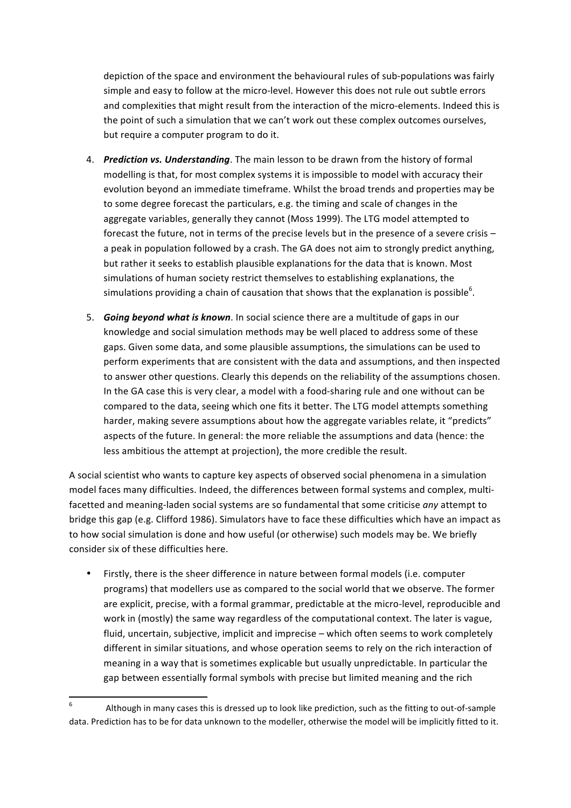depiction of the space and environment the behavioural rules of sub-populations was fairly simple and easy to follow at the micro-level. However this does not rule out subtle errors and complexities that might result from the interaction of the micro-elements. Indeed this is the point of such a simulation that we can't work out these complex outcomes ourselves, but require a computer program to do it.

- 4. **Prediction vs. Understanding**. The main lesson to be drawn from the history of formal modelling is that, for most complex systems it is impossible to model with accuracy their evolution beyond an immediate timeframe. Whilst the broad trends and properties may be to some degree forecast the particulars, e.g. the timing and scale of changes in the aggregate variables, generally they cannot (Moss 1999). The LTG model attempted to forecast the future, not in terms of the precise levels but in the presence of a severe crisis – a peak in population followed by a crash. The GA does not aim to strongly predict anything, but rather it seeks to establish plausible explanations for the data that is known. Most simulations of human society restrict themselves to establishing explanations, the simulations providing a chain of causation that shows that the explanation is possible<sup>6</sup>.
- 5. *Going beyond what is known*. In social science there are a multitude of gaps in our knowledge and social simulation methods may be well placed to address some of these gaps. Given some data, and some plausible assumptions, the simulations can be used to perform experiments that are consistent with the data and assumptions, and then inspected to answer other questions. Clearly this depends on the reliability of the assumptions chosen. In the GA case this is very clear, a model with a food-sharing rule and one without can be compared to the data, seeing which one fits it better. The LTG model attempts something harder, making severe assumptions about how the aggregate variables relate, it "predicts" aspects of the future. In general: the more reliable the assumptions and data (hence: the less ambitious the attempt at projection), the more credible the result.

A social scientist who wants to capture key aspects of observed social phenomena in a simulation model faces many difficulties. Indeed, the differences between formal systems and complex, multifacetted and meaning-laden social systems are so fundamental that some criticise *any* attempt to bridge this gap (e.g. Clifford 1986). Simulators have to face these difficulties which have an impact as to how social simulation is done and how useful (or otherwise) such models may be. We briefly consider six of these difficulties here.

Firstly, there is the sheer difference in nature between formal models (i.e. computer programs) that modellers use as compared to the social world that we observe. The former are explicit, precise, with a formal grammar, predictable at the micro-level, reproducible and work in (mostly) the same way regardless of the computational context. The later is vague, fluid, uncertain, subjective, implicit and imprecise – which often seems to work completely different in similar situations, and whose operation seems to rely on the rich interaction of meaning in a way that is sometimes explicable but usually unpredictable. In particular the gap between essentially formal symbols with precise but limited meaning and the rich

Although in many cases this is dressed up to look like prediction, such as the fitting to out-of-sample data. Prediction has to be for data unknown to the modeller, otherwise the model will be implicitly fitted to it.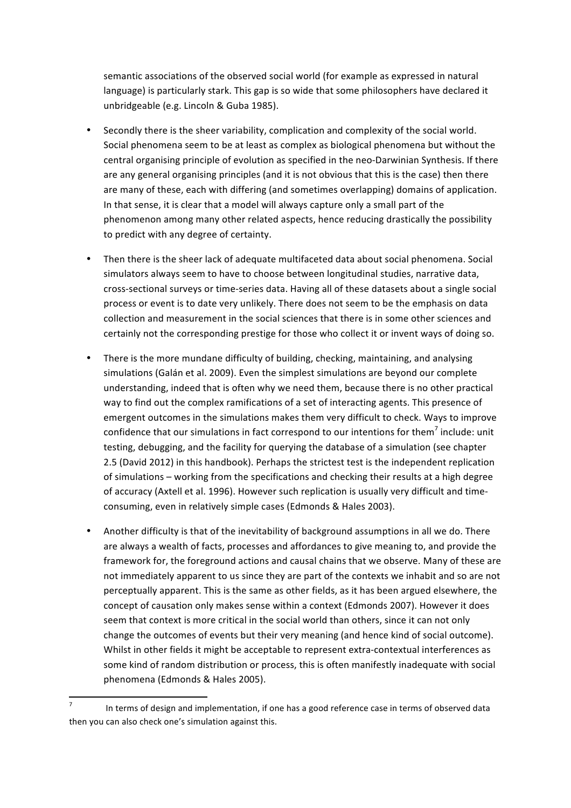semantic associations of the observed social world (for example as expressed in natural language) is particularly stark. This gap is so wide that some philosophers have declared it unbridgeable (e.g. Lincoln & Guba 1985).

- Secondly there is the sheer variability, complication and complexity of the social world. Social phenomena seem to be at least as complex as biological phenomena but without the central organising principle of evolution as specified in the neo-Darwinian Synthesis. If there are any general organising principles (and it is not obvious that this is the case) then there are many of these, each with differing (and sometimes overlapping) domains of application. In that sense, it is clear that a model will always capture only a small part of the phenomenon among many other related aspects, hence reducing drastically the possibility to predict with any degree of certainty.
- Then there is the sheer lack of adequate multifaceted data about social phenomena. Social simulators always seem to have to choose between longitudinal studies, narrative data, cross-sectional surveys or time-series data. Having all of these datasets about a single social process or event is to date very unlikely. There does not seem to be the emphasis on data collection and measurement in the social sciences that there is in some other sciences and certainly not the corresponding prestige for those who collect it or invent ways of doing so.
- There is the more mundane difficulty of building, checking, maintaining, and analysing simulations (Galán et al. 2009). Even the simplest simulations are beyond our complete understanding, indeed that is often why we need them, because there is no other practical way to find out the complex ramifications of a set of interacting agents. This presence of emergent outcomes in the simulations makes them very difficult to check. Ways to improve confidence that our simulations in fact correspond to our intentions for them<sup>7</sup> include: unit testing, debugging, and the facility for querying the database of a simulation (see chapter 2.5 (David 2012) in this handbook). Perhaps the strictest test is the independent replication of simulations – working from the specifications and checking their results at a high degree of accuracy (Axtell et al. 1996). However such replication is usually very difficult and timeconsuming, even in relatively simple cases (Edmonds & Hales 2003).
- Another difficulty is that of the inevitability of background assumptions in all we do. There are always a wealth of facts, processes and affordances to give meaning to, and provide the framework for, the foreground actions and causal chains that we observe. Many of these are not immediately apparent to us since they are part of the contexts we inhabit and so are not perceptually apparent. This is the same as other fields, as it has been argued elsewhere, the concept of causation only makes sense within a context (Edmonds 2007). However it does seem that context is more critical in the social world than others, since it can not only change the outcomes of events but their very meaning (and hence kind of social outcome). Whilst in other fields it might be acceptable to represent extra-contextual interferences as some kind of random distribution or process, this is often manifestly inadequate with social phenomena (Edmonds & Hales 2005).

In terms of design and implementation, if one has a good reference case in terms of observed data then you can also check one's simulation against this.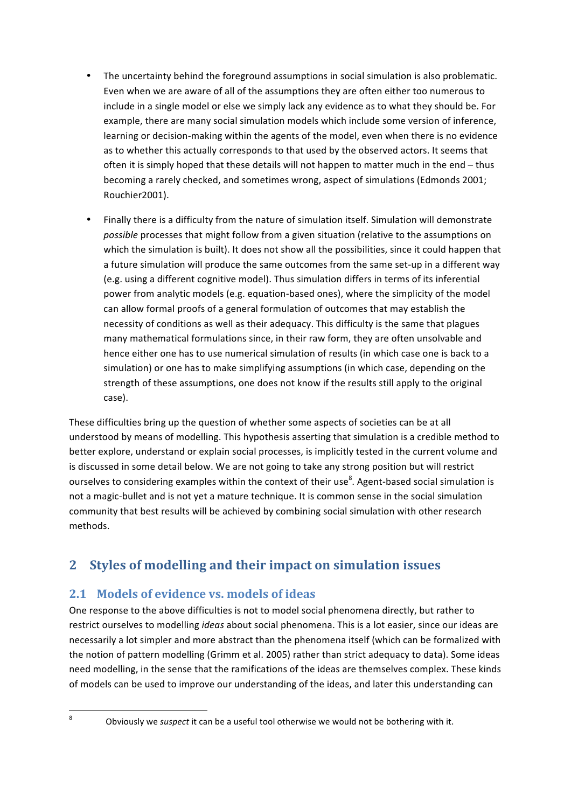- The uncertainty behind the foreground assumptions in social simulation is also problematic. Even when we are aware of all of the assumptions they are often either too numerous to include in a single model or else we simply lack any evidence as to what they should be. For example, there are many social simulation models which include some version of inference, learning or decision-making within the agents of the model, even when there is no evidence as to whether this actually corresponds to that used by the observed actors. It seems that often it is simply hoped that these details will not happen to matter much in the end – thus becoming a rarely checked, and sometimes wrong, aspect of simulations (Edmonds 2001; Rouchier2001).#
- Finally there is a difficulty from the nature of simulation itself. Simulation will demonstrate *possible* processes that might follow from a given situation (relative to the assumptions on which the simulation is built). It does not show all the possibilities, since it could happen that a future simulation will produce the same outcomes from the same set-up in a different way (e.g. using a different cognitive model). Thus simulation differs in terms of its inferential power from analytic models (e.g. equation-based ones), where the simplicity of the model can allow formal proofs of a general formulation of outcomes that may establish the necessity of conditions as well as their adequacy. This difficulty is the same that plagues many mathematical formulations since, in their raw form, they are often unsolvable and hence either one has to use numerical simulation of results (in which case one is back to a simulation) or one has to make simplifying assumptions (in which case, depending on the strength of these assumptions, one does not know if the results still apply to the original case).

These difficulties bring up the question of whether some aspects of societies can be at all understood by means of modelling. This hypothesis asserting that simulation is a credible method to better explore, understand or explain social processes, is implicitly tested in the current volume and is discussed in some detail below. We are not going to take any strong position but will restrict ourselves to considering examples within the context of their use<sup>8</sup>. Agent-based social simulation is not a magic-bullet and is not yet a mature technique. It is common sense in the social simulation community that best results will be achieved by combining social simulation with other research methods.

# **2 Styles of modelling and their impact on simulation issues**

## **2.1 Models of evidence vs. models of ideas**

One response to the above difficulties is not to model social phenomena directly, but rather to restrict ourselves to modelling *ideas* about social phenomena. This is a lot easier, since our ideas are necessarily a lot simpler and more abstract than the phenomena itself (which can be formalized with the notion of pattern modelling (Grimm et al. 2005) rather than strict adequacy to data). Some ideas need modelling, in the sense that the ramifications of the ideas are themselves complex. These kinds of models can be used to improve our understanding of the ideas, and later this understanding can

<sup>############################################################</sup>

<sup>&</sup>lt;sup>8</sup> Obviously we *suspect* it can be a useful tool otherwise we would not be bothering with it.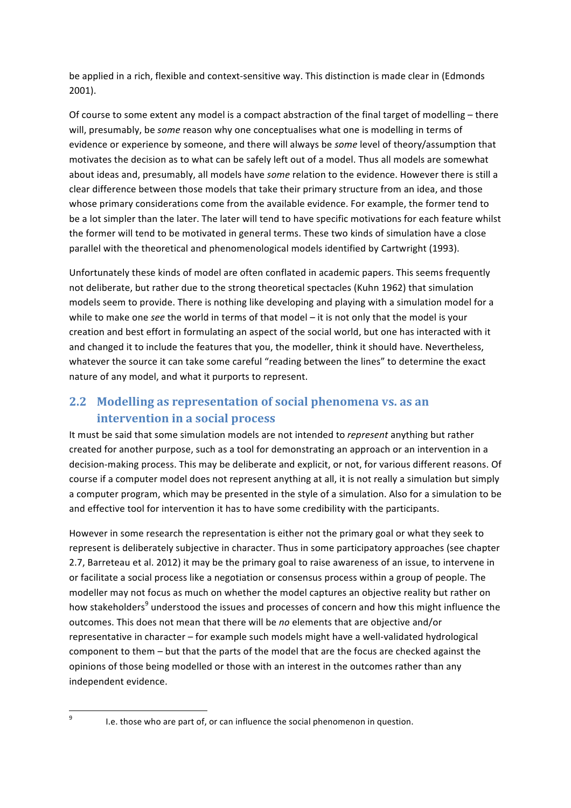be applied in a rich, flexible and context-sensitive way. This distinction is made clear in (Edmonds 2001).

Of course to some extent any model is a compact abstraction of the final target of modelling – there will, presumably, be *some* reason why one conceptualises what one is modelling in terms of evidence or experience by someone, and there will always be *some* level of theory/assumption that motivates the decision as to what can be safely left out of a model. Thus all models are somewhat about ideas and, presumably, all models have *some* relation to the evidence. However there is still a clear difference between those models that take their primary structure from an idea, and those whose primary considerations come from the available evidence. For example, the former tend to be a lot simpler than the later. The later will tend to have specific motivations for each feature whilst the former will tend to be motivated in general terms. These two kinds of simulation have a close parallel with the theoretical and phenomenological models identified by Cartwright (1993).

Unfortunately these kinds of model are often conflated in academic papers. This seems frequently not deliberate, but rather due to the strong theoretical spectacles (Kuhn 1962) that simulation models seem to provide. There is nothing like developing and playing with a simulation model for a while to make one *see* the world in terms of that model – it is not only that the model is your creation and best effort in formulating an aspect of the social world, but one has interacted with it and changed it to include the features that you, the modeller, think it should have. Nevertheless, whatever the source it can take some careful "reading between the lines" to determine the exact nature of any model, and what it purports to represent.

# **2.2 Modelling as representation of social phenomena vs. as an intervention in a social process**

It must be said that some simulation models are not intended to *represent* anything but rather created for another purpose, such as a tool for demonstrating an approach or an intervention in a decision-making process. This may be deliberate and explicit, or not, for various different reasons. Of course if a computer model does not represent anything at all, it is not really a simulation but simply a computer program, which may be presented in the style of a simulation. Also for a simulation to be and effective tool for intervention it has to have some credibility with the participants.

However in some research the representation is either not the primary goal or what they seek to represent is deliberately subjective in character. Thus in some participatory approaches (see chapter 2.7, Barreteau et al. 2012) it may be the primary goal to raise awareness of an issue, to intervene in or facilitate a social process like a negotiation or consensus process within a group of people. The modeller may not focus as much on whether the model captures an objective reality but rather on how stakeholders<sup>9</sup> understood the issues and processes of concern and how this might influence the outcomes. This does not mean that there will be no elements that are objective and/or representative in character – for example such models might have a well-validated hydrological component to them – but that the parts of the model that are the focus are checked against the opinions of those being modelled or those with an interest in the outcomes rather than any independent evidence.

 $\frac{9}{10}$  I.e. those who are part of, or can influence the social phenomenon in question.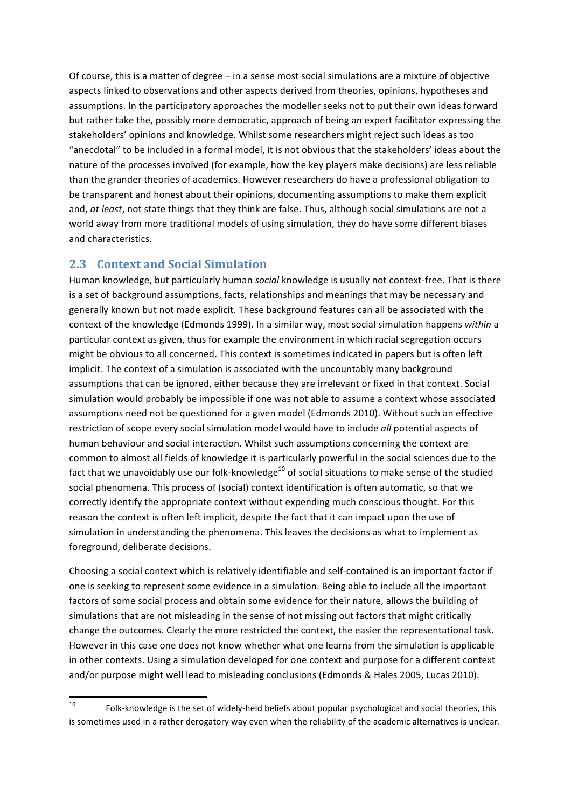Of course, this is a matter of degree – in a sense most social simulations are a mixture of objective aspects linked to observations and other aspects derived from theories, opinions, hypotheses and assumptions. In the participatory approaches the modeller seeks not to put their own ideas forward but rather take the, possibly more democratic, approach of being an expert facilitator expressing the stakeholders' opinions and knowledge. Whilst some researchers might reject such ideas as too "anecdotal" to be included in a formal model, it is not obvious that the stakeholders' ideas about the nature of the processes involved (for example, how the key players make decisions) are less reliable than the grander theories of academics. However researchers do have a professional obligation to be transparent and honest about their opinions, documenting assumptions to make them explicit and, *at least*, not state things that they think are false. Thus, although social simulations are not a world away from more traditional models of using simulation, they do have some different biases and characteristics.

### **2.3 Context and Social Simulation**

############################################################

Human knowledge, but particularly human *social* knowledge is usually not context-free. That is there is a set of background assumptions, facts, relationships and meanings that may be necessary and generally known but not made explicit. These background features can all be associated with the context of the knowledge (Edmonds 1999). In a similar way, most social simulation happens within a particular context as given, thus for example the environment in which racial segregation occurs might be obvious to all concerned. This context is sometimes indicated in papers but is often left implicit. The context of a simulation is associated with the uncountably many background assumptions that can be ignored, either because they are irrelevant or fixed in that context. Social simulation would probably be impossible if one was not able to assume a context whose associated assumptions need not be questioned for a given model (Edmonds 2010). Without such an effective restriction of scope every social simulation model would have to include *all* potential aspects of human behaviour and social interaction. Whilst such assumptions concerning the context are common to almost all fields of knowledge it is particularly powerful in the social sciences due to the fact that we unavoidably use our folk-knowledge<sup>10</sup> of social situations to make sense of the studied social phenomena. This process of (social) context identification is often automatic, so that we correctly identify the appropriate context without expending much conscious thought. For this reason the context is often left implicit, despite the fact that it can impact upon the use of simulation in understanding the phenomena. This leaves the decisions as what to implement as foreground, deliberate decisions.

Choosing a social context which is relatively identifiable and self-contained is an important factor if one is seeking to represent some evidence in a simulation. Being able to include all the important factors of some social process and obtain some evidence for their nature, allows the building of simulations that are not misleading in the sense of not missing out factors that might critically change the outcomes. Clearly the more restricted the context, the easier the representational task. However in this case one does not know whether what one learns from the simulation is applicable in other contexts. Using a simulation developed for one context and purpose for a different context and/or purpose might well lead to misleading conclusions (Edmonds & Hales 2005, Lucas 2010).

<sup>&</sup>lt;sup>10</sup> Folk-knowledge is the set of widely-held beliefs about popular psychological and social theories, this is sometimes used in a rather derogatory way even when the reliability of the academic alternatives is unclear.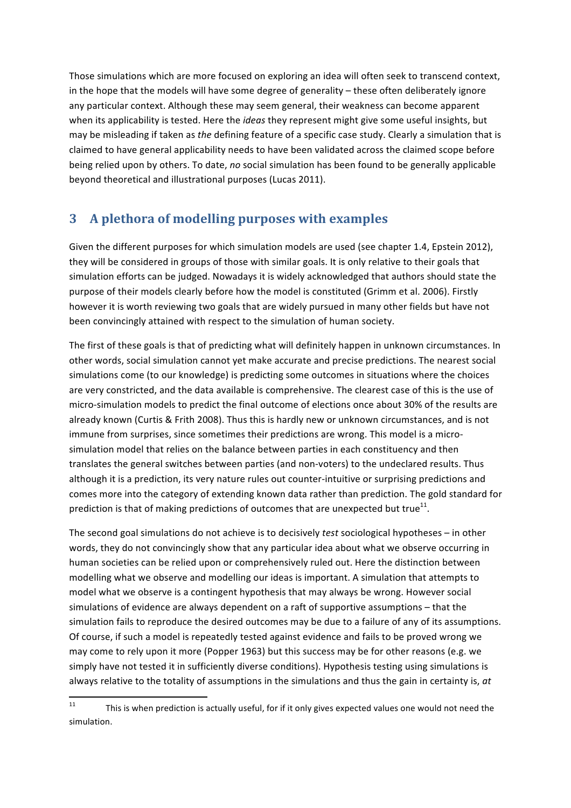Those simulations which are more focused on exploring an idea will often seek to transcend context, in the hope that the models will have some degree of generality – these often deliberately ignore any particular context. Although these may seem general, their weakness can become apparent when its applicability is tested. Here the *ideas* they represent might give some useful insights, but may be misleading if taken as *the* defining feature of a specific case study. Clearly a simulation that is claimed to have general applicability needs to have been validated across the claimed scope before being relied upon by others. To date, *no* social simulation has been found to be generally applicable beyond theoretical and illustrational purposes (Lucas 2011).

# **3 A** plethora of modelling purposes with examples

Given the different purposes for which simulation models are used (see chapter 1.4, Epstein 2012), they will be considered in groups of those with similar goals. It is only relative to their goals that simulation efforts can be judged. Nowadays it is widely acknowledged that authors should state the purpose of their models clearly before how the model is constituted (Grimm et al. 2006). Firstly however it is worth reviewing two goals that are widely pursued in many other fields but have not been convincingly attained with respect to the simulation of human society.

The first of these goals is that of predicting what will definitely happen in unknown circumstances. In other words, social simulation cannot yet make accurate and precise predictions. The nearest social simulations come (to our knowledge) is predicting some outcomes in situations where the choices are very constricted, and the data available is comprehensive. The clearest case of this is the use of micro-simulation models to predict the final outcome of elections once about 30% of the results are already known (Curtis & Frith 2008). Thus this is hardly new or unknown circumstances, and is not immune from surprises, since sometimes their predictions are wrong. This model is a microsimulation model that relies on the balance between parties in each constituency and then translates the general switches between parties (and non-voters) to the undeclared results. Thus although it is a prediction, its very nature rules out counter-intuitive or surprising predictions and comes more into the category of extending known data rather than prediction. The gold standard for prediction is that of making predictions of outcomes that are unexpected but true<sup>11</sup>.

The second goal simulations do not achieve is to decisively *test* sociological hypotheses – in other words, they do not convincingly show that any particular idea about what we observe occurring in human societies can be relied upon or comprehensively ruled out. Here the distinction between modelling what we observe and modelling our ideas is important. A simulation that attempts to model what we observe is a contingent hypothesis that may always be wrong. However social simulations of evidence are always dependent on a raft of supportive assumptions – that the simulation fails to reproduce the desired outcomes may be due to a failure of any of its assumptions. Of course, if such a model is repeatedly tested against evidence and fails to be proved wrong we may come to rely upon it more (Popper 1963) but this success may be for other reasons (e.g. we simply have not tested it in sufficiently diverse conditions). Hypothesis testing using simulations is always relative to the totality of assumptions in the simulations and thus the gain in certainty is, *at* 

<sup>&</sup>lt;sup>11</sup> This is when prediction is actually useful, for if it only gives expected values one would not need the simulation.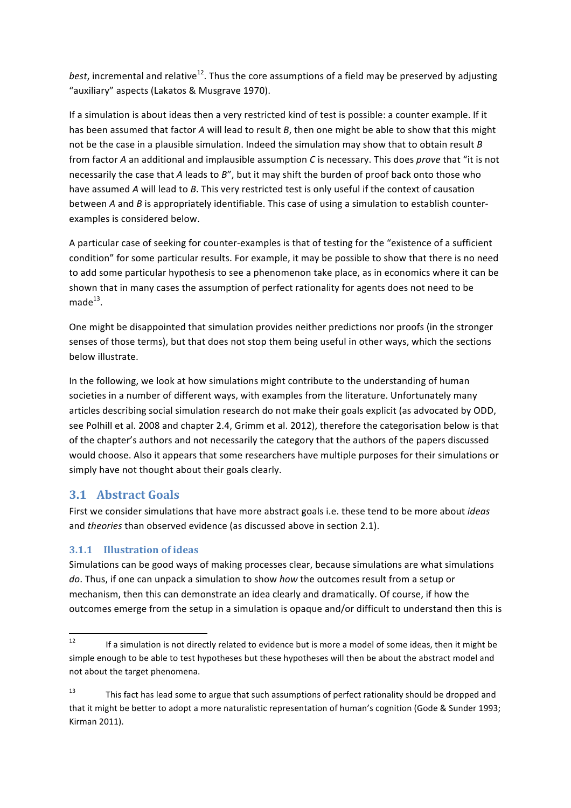*best*, incremental and relative<sup>12</sup>. Thus the core assumptions of a field may be preserved by adjusting "auxiliary" aspects (Lakatos & Musgrave 1970).

If a simulation is about ideas then a very restricted kind of test is possible: a counter example. If it has been assumed that factor *A* will lead to result *B*, then one might be able to show that this might not be the case in a plausible simulation. Indeed the simulation may show that to obtain result *B* from factor *A* an additional and implausible assumption *C* is necessary. This does *prove* that "it is not necessarily the case that *A* leads to *B*", but it may shift the burden of proof back onto those who have assumed *A* will lead to *B*. This very restricted test is only useful if the context of causation between *A* and *B* is appropriately identifiable. This case of using a simulation to establish counterexamples is considered below.

A particular case of seeking for counter-examples is that of testing for the "existence of a sufficient condition" for some particular results. For example, it may be possible to show that there is no need to add some particular hypothesis to see a phenomenon take place, as in economics where it can be shown that in many cases the assumption of perfect rationality for agents does not need to be  $made<sup>13</sup>$ .

One might be disappointed that simulation provides neither predictions nor proofs (in the stronger senses of those terms), but that does not stop them being useful in other ways, which the sections below illustrate.

In the following, we look at how simulations might contribute to the understanding of human societies in a number of different ways, with examples from the literature. Unfortunately many articles describing social simulation research do not make their goals explicit (as advocated by ODD, see Polhill et al. 2008 and chapter 2.4, Grimm et al. 2012), therefore the categorisation below is that of the chapter's authors and not necessarily the category that the authors of the papers discussed would choose. Also it appears that some researchers have multiple purposes for their simulations or simply have not thought about their goals clearly.

## **3.1 Abstract\$Goals**

First we consider simulations that have more abstract goals i.e. these tend to be more about *ideas* and *theories* than observed evidence (as discussed above in section 2.1).

### **3.1.1 Illustration of ideas**

Simulations can be good ways of making processes clear, because simulations are what simulations *do*. Thus, if one can unpack a simulation to show *how* the outcomes result from a setup or mechanism, then this can demonstrate an idea clearly and dramatically. Of course, if how the outcomes emerge from the setup in a simulation is opaque and/or difficult to understand then this is

<sup>############################################################</sup> <sup>12</sup> If a simulation is not directly related to evidence but is more a model of some ideas, then it might be simple enough to be able to test hypotheses but these hypotheses will then be about the abstract model and not about the target phenomena.

<sup>13</sup> This fact has lead some to argue that such assumptions of perfect rationality should be dropped and that it might be better to adopt a more naturalistic representation of human's cognition (Gode & Sunder 1993; Kirman 2011).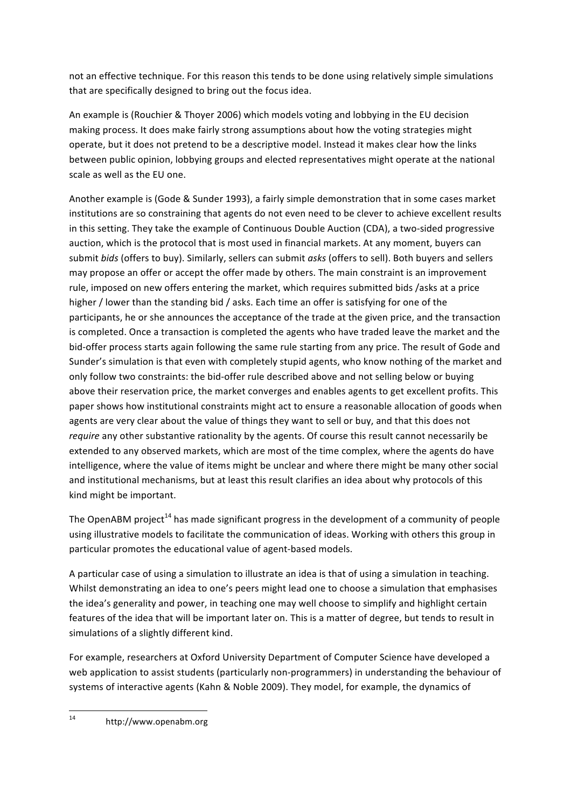not an effective technique. For this reason this tends to be done using relatively simple simulations that are specifically designed to bring out the focus idea.

An example is (Rouchier & Thoyer 2006) which models voting and lobbying in the EU decision making process. It does make fairly strong assumptions about how the voting strategies might operate, but it does not pretend to be a descriptive model. Instead it makes clear how the links between public opinion, lobbying groups and elected representatives might operate at the national scale as well as the EU one.

Another example is (Gode & Sunder 1993), a fairly simple demonstration that in some cases market institutions are so constraining that agents do not even need to be clever to achieve excellent results in this setting. They take the example of Continuous Double Auction (CDA), a two-sided progressive auction, which is the protocol that is most used in financial markets. At any moment, buyers can submit *bids* (offers to buy). Similarly, sellers can submit *asks* (offers to sell). Both buyers and sellers may propose an offer or accept the offer made by others. The main constraint is an improvement rule, imposed on new offers entering the market, which requires submitted bids /asks at a price higher / lower than the standing bid / asks. Each time an offer is satisfying for one of the participants, he or she announces the acceptance of the trade at the given price, and the transaction is completed. Once a transaction is completed the agents who have traded leave the market and the bid-offer process starts again following the same rule starting from any price. The result of Gode and Sunder's simulation is that even with completely stupid agents, who know nothing of the market and only follow two constraints: the bid-offer rule described above and not selling below or buying above their reservation price, the market converges and enables agents to get excellent profits. This paper shows how institutional constraints might act to ensure a reasonable allocation of goods when agents are very clear about the value of things they want to sell or buy, and that this does not *require* any other substantive rationality by the agents. Of course this result cannot necessarily be extended to any observed markets, which are most of the time complex, where the agents do have intelligence, where the value of items might be unclear and where there might be many other social and institutional mechanisms, but at least this result clarifies an idea about why protocols of this kind might be important.

The OpenABM project<sup>14</sup> has made significant progress in the development of a community of people using illustrative models to facilitate the communication of ideas. Working with others this group in particular promotes the educational value of agent-based models.

A particular case of using a simulation to illustrate an idea is that of using a simulation in teaching. Whilst demonstrating an idea to one's peers might lead one to choose a simulation that emphasises the idea's generality and power, in teaching one may well choose to simplify and highlight certain features of the idea that will be important later on. This is a matter of degree, but tends to result in simulations of a slightly different kind.

For example, researchers at Oxford University Department of Computer Science have developed a web application to assist students (particularly non-programmers) in understanding the behaviour of systems of interactive agents (Kahn & Noble 2009). They model, for example, the dynamics of

<sup>############################################################</sup> <sup>14</sup> http://www.openabm.org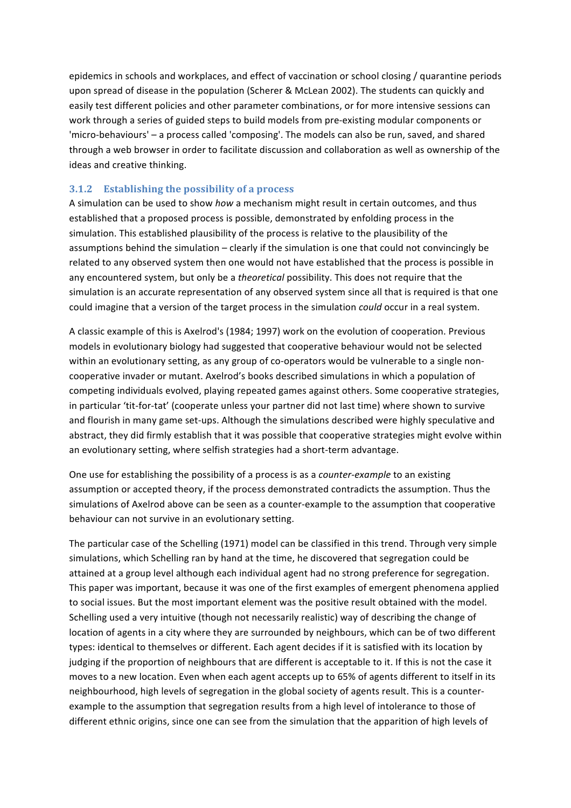epidemics in schools and workplaces, and effect of vaccination or school closing / quarantine periods upon spread of disease in the population (Scherer & McLean 2002). The students can quickly and easily test different policies and other parameter combinations, or for more intensive sessions can work through a series of guided steps to build models from pre-existing modular components or 'micro-behaviours' – a process called 'composing'. The models can also be run, saved, and shared through a web browser in order to facilitate discussion and collaboration as well as ownership of the ideas and creative thinking.

#### **3.1.2 Establishing the possibility of a process**

A simulation can be used to show *how* a mechanism might result in certain outcomes, and thus established that a proposed process is possible, demonstrated by enfolding process in the simulation. This established plausibility of the process is relative to the plausibility of the assumptions behind the simulation – clearly if the simulation is one that could not convincingly be related to any observed system then one would not have established that the process is possible in any encountered system, but only be a *theoretical* possibility. This does not require that the simulation is an accurate representation of any observed system since all that is required is that one could imagine that a version of the target process in the simulation *could* occur in a real system.

A classic example of this is Axelrod's (1984; 1997) work on the evolution of cooperation. Previous models in evolutionary biology had suggested that cooperative behaviour would not be selected within an evolutionary setting, as any group of co-operators would be vulnerable to a single noncooperative invader or mutant. Axelrod's books described simulations in which a population of competing individuals evolved, playing repeated games against others. Some cooperative strategies, in particular 'tit-for-tat' (cooperate unless your partner did not last time) where shown to survive and flourish in many game set-ups. Although the simulations described were highly speculative and abstract, they did firmly establish that it was possible that cooperative strategies might evolve within an evolutionary setting, where selfish strategies had a short-term advantage.

One use for establishing the possibility of a process is as a *counter-example* to an existing assumption or accepted theory, if the process demonstrated contradicts the assumption. Thus the simulations of Axelrod above can be seen as a counter-example to the assumption that cooperative behaviour can not survive in an evolutionary setting.

The particular case of the Schelling (1971) model can be classified in this trend. Through very simple simulations, which Schelling ran by hand at the time, he discovered that segregation could be attained at a group level although each individual agent had no strong preference for segregation. This paper was important, because it was one of the first examples of emergent phenomena applied to social issues. But the most important element was the positive result obtained with the model. Schelling used a very intuitive (though not necessarily realistic) way of describing the change of location of agents in a city where they are surrounded by neighbours, which can be of two different types: identical to themselves or different. Each agent decides if it is satisfied with its location by judging if the proportion of neighbours that are different is acceptable to it. If this is not the case it moves to a new location. Even when each agent accepts up to 65% of agents different to itself in its neighbourhood, high levels of segregation in the global society of agents result. This is a counterexample to the assumption that segregation results from a high level of intolerance to those of different ethnic origins, since one can see from the simulation that the apparition of high levels of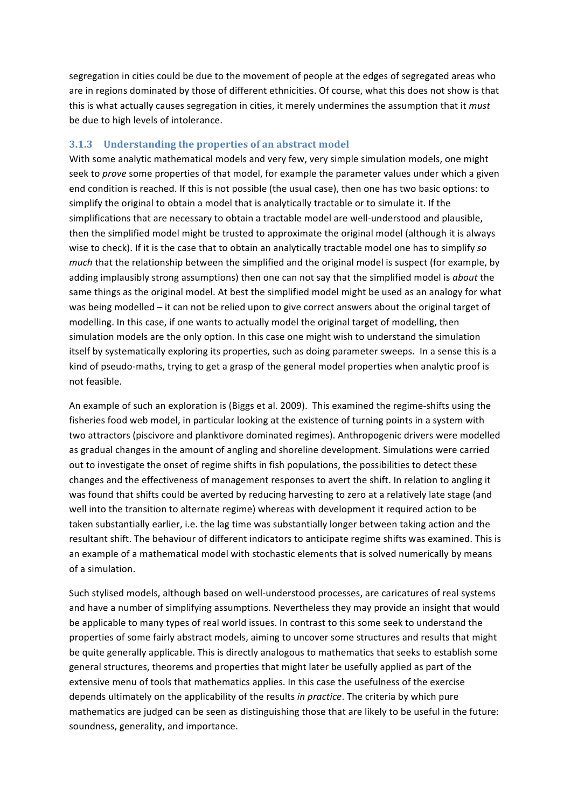segregation in cities could be due to the movement of people at the edges of segregated areas who are in regions dominated by those of different ethnicities. Of course, what this does not show is that this is what actually causes segregation in cities, it merely undermines the assumption that it *must* be due to high levels of intolerance.

#### **3.1.3** Understanding the properties of an abstract model

With some analytic mathematical models and very few, very simple simulation models, one might seek to *prove* some properties of that model, for example the parameter values under which a given end condition is reached. If this is not possible (the usual case), then one has two basic options: to simplify the original to obtain a model that is analytically tractable or to simulate it. If the simplifications that are necessary to obtain a tractable model are well-understood and plausible, then the simplified model might be trusted to approximate the original model (although it is always wise to check). If it is the case that to obtain an analytically tractable model one has to simplify so *much* that the relationship between the simplified and the original model is suspect (for example, by adding implausibly strong assumptions) then one can not say that the simplified model is *about* the same things as the original model. At best the simplified model might be used as an analogy for what was being modelled – it can not be relied upon to give correct answers about the original target of modelling. In this case, if one wants to actually model the original target of modelling, then simulation models are the only option. In this case one might wish to understand the simulation itself by systematically exploring its properties, such as doing parameter sweeps. In a sense this is a kind of pseudo-maths, trying to get a grasp of the general model properties when analytic proof is not feasible.

An example of such an exploration is (Biggs et al. 2009). This examined the regime-shifts using the fisheries food web model, in particular looking at the existence of turning points in a system with two attractors (piscivore and planktivore dominated regimes). Anthropogenic drivers were modelled as gradual changes in the amount of angling and shoreline development. Simulations were carried out to investigate the onset of regime shifts in fish populations, the possibilities to detect these changes and the effectiveness of management responses to avert the shift. In relation to angling it was found that shifts could be averted by reducing harvesting to zero at a relatively late stage (and well into the transition to alternate regime) whereas with development it required action to be taken substantially earlier, i.e. the lag time was substantially longer between taking action and the resultant shift. The behaviour of different indicators to anticipate regime shifts was examined. This is an example of a mathematical model with stochastic elements that is solved numerically by means of a simulation.

Such stylised models, although based on well-understood processes, are caricatures of real systems and have a number of simplifying assumptions. Nevertheless they may provide an insight that would be applicable to many types of real world issues. In contrast to this some seek to understand the properties of some fairly abstract models, aiming to uncover some structures and results that might be quite generally applicable. This is directly analogous to mathematics that seeks to establish some general structures, theorems and properties that might later be usefully applied as part of the extensive menu of tools that mathematics applies. In this case the usefulness of the exercise depends ultimately on the applicability of the results *in practice*. The criteria by which pure mathematics are judged can be seen as distinguishing those that are likely to be useful in the future: soundness, generality, and importance.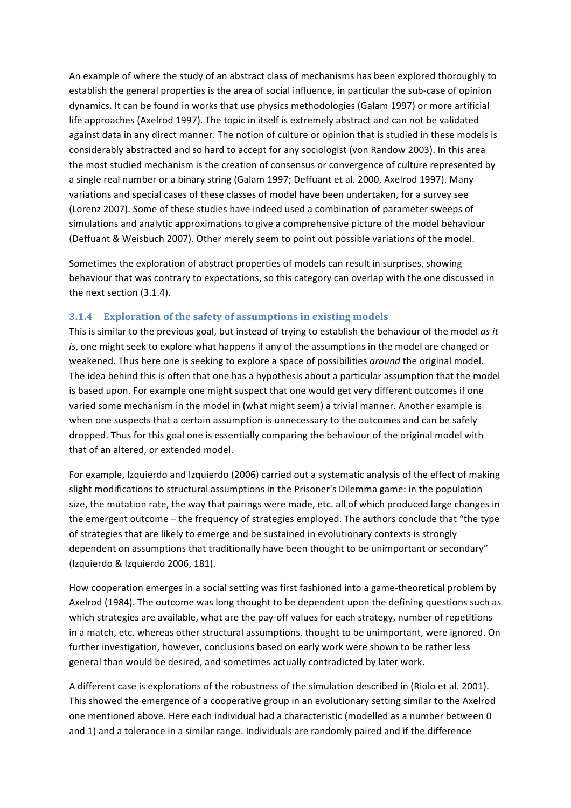An example of where the study of an abstract class of mechanisms has been explored thoroughly to establish the general properties is the area of social influence, in particular the sub-case of opinion dynamics. It can be found in works that use physics methodologies (Galam 1997) or more artificial life approaches (Axelrod 1997). The topic in itself is extremely abstract and can not be validated against data in any direct manner. The notion of culture or opinion that is studied in these models is considerably abstracted and so hard to accept for any sociologist (von Randow 2003). In this area the most studied mechanism is the creation of consensus or convergence of culture represented by a single real number or a binary string (Galam 1997; Deffuant et al. 2000, Axelrod 1997). Many variations and special cases of these classes of model have been undertaken, for a survey see (Lorenz 2007). Some of these studies have indeed used a combination of parameter sweeps of simulations and analytic approximations to give a comprehensive picture of the model behaviour (Deffuant & Weisbuch 2007). Other merely seem to point out possible variations of the model.

Sometimes the exploration of abstract properties of models can result in surprises, showing behaviour that was contrary to expectations, so this category can overlap with the one discussed in the next section  $(3.1.4)$ .

#### **3.1.4 Exploration of the safety of assumptions in existing models**

This is similar to the previous goal, but instead of trying to establish the behaviour of the model *as it is*, one might seek to explore what happens if any of the assumptions in the model are changed or weakened. Thus here one is seeking to explore a space of possibilities *around* the original model. The idea behind this is often that one has a hypothesis about a particular assumption that the model is based upon. For example one might suspect that one would get very different outcomes if one varied some mechanism in the model in (what might seem) a trivial manner. Another example is when one suspects that a certain assumption is unnecessary to the outcomes and can be safely dropped. Thus for this goal one is essentially comparing the behaviour of the original model with that of an altered, or extended model.

For example, Izquierdo and Izquierdo (2006) carried out a systematic analysis of the effect of making slight modifications to structural assumptions in the Prisoner's Dilemma game: in the population size, the mutation rate, the way that pairings were made, etc. all of which produced large changes in the emergent outcome – the frequency of strategies employed. The authors conclude that "the type of strategies that are likely to emerge and be sustained in evolutionary contexts is strongly dependent on assumptions that traditionally have been thought to be unimportant or secondary" (Izquierdo & Izquierdo 2006, 181).

How cooperation emerges in a social setting was first fashioned into a game-theoretical problem by Axelrod (1984). The outcome was long thought to be dependent upon the defining questions such as which strategies are available, what are the pay-off values for each strategy, number of repetitions in a match, etc. whereas other structural assumptions, thought to be unimportant, were ignored. On further investigation, however, conclusions based on early work were shown to be rather less general than would be desired, and sometimes actually contradicted by later work.

A different case is explorations of the robustness of the simulation described in (Riolo et al. 2001). This showed the emergence of a cooperative group in an evolutionary setting similar to the Axelrod one mentioned above. Here each individual had a characteristic (modelled as a number between 0 and 1) and a tolerance in a similar range. Individuals are randomly paired and if the difference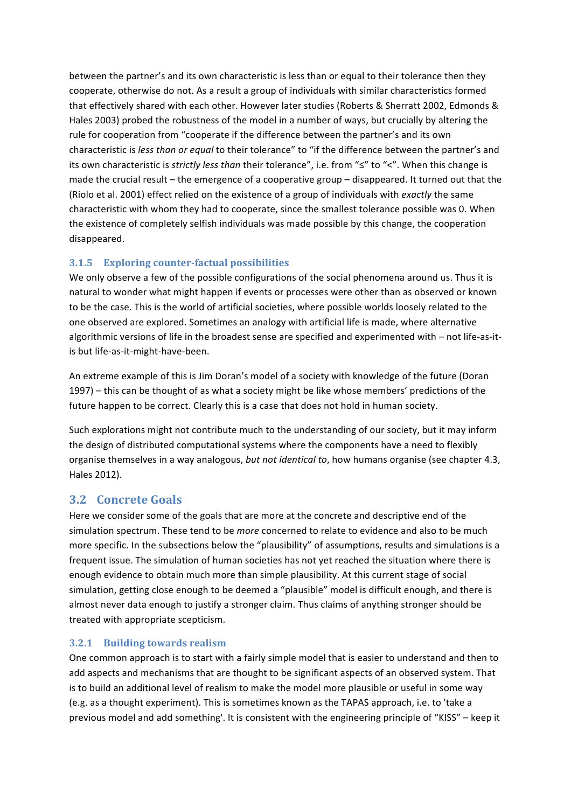between the partner's and its own characteristic is less than or equal to their tolerance then they cooperate, otherwise do not. As a result a group of individuals with similar characteristics formed that effectively shared with each other. However later studies (Roberts & Sherratt 2002, Edmonds & Hales 2003) probed the robustness of the model in a number of ways, but crucially by altering the rule for cooperation from "cooperate if the difference between the partner's and its own characteristic is *less than or equal* to their tolerance" to "if the difference between the partner's and its own characteristic is *strictly less than* their tolerance", i.e. from "≤" to "<". When this change is made the crucial result – the emergence of a cooperative group – disappeared. It turned out that the (Riolo et al. 2001) effect relied on the existence of a group of individuals with *exactly* the same characteristic with whom they had to cooperate, since the smallest tolerance possible was 0. When the existence of completely selfish individuals was made possible by this change, the cooperation disappeared.

### **3.1.5 Exploring counter-factual possibilities**

We only observe a few of the possible configurations of the social phenomena around us. Thus it is natural to wonder what might happen if events or processes were other than as observed or known to be the case. This is the world of artificial societies, where possible worlds loosely related to the one observed are explored. Sometimes an analogy with artificial life is made, where alternative algorithmic versions of life in the broadest sense are specified and experimented with – not life-as-itis but life-as-it-might-have-been.

An extreme example of this is Jim Doran's model of a society with knowledge of the future (Doran 1997) – this can be thought of as what a society might be like whose members' predictions of the future happen to be correct. Clearly this is a case that does not hold in human society.

Such explorations might not contribute much to the understanding of our society, but it may inform the design of distributed computational systems where the components have a need to flexibly organise themselves in a way analogous, but not identical to, how humans organise (see chapter 4.3, Hales 2012).

### **3.2 Concrete Goals**

Here we consider some of the goals that are more at the concrete and descriptive end of the simulation spectrum. These tend to be *more* concerned to relate to evidence and also to be much more specific. In the subsections below the "plausibility" of assumptions, results and simulations is a frequent issue. The simulation of human societies has not yet reached the situation where there is enough evidence to obtain much more than simple plausibility. At this current stage of social simulation, getting close enough to be deemed a "plausible" model is difficult enough, and there is almost never data enough to justify a stronger claim. Thus claims of anything stronger should be treated with appropriate scepticism.

#### **3.2.1 Building towards realism**

One common approach is to start with a fairly simple model that is easier to understand and then to add aspects and mechanisms that are thought to be significant aspects of an observed system. That is to build an additional level of realism to make the model more plausible or useful in some way (e.g. as a thought experiment). This is sometimes known as the TAPAS approach, i.e. to 'take a previous model and add something'. It is consistent with the engineering principle of "KISS" – keep it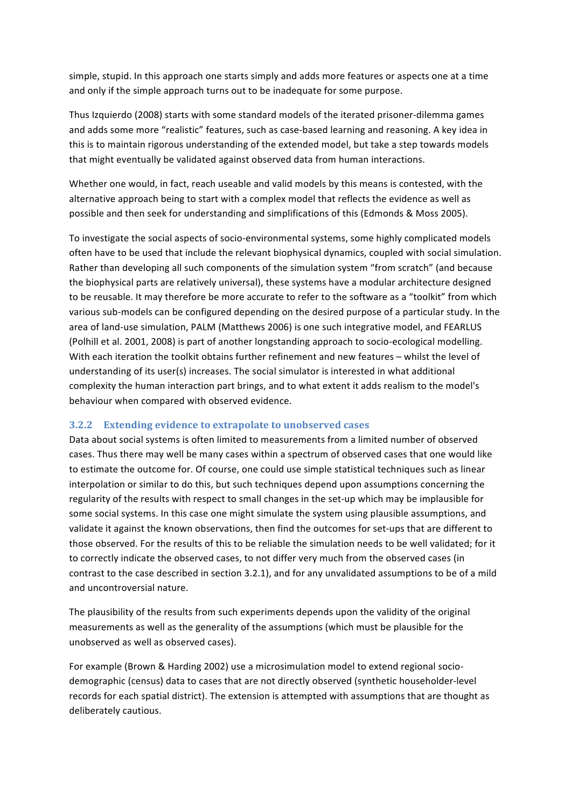simple, stupid. In this approach one starts simply and adds more features or aspects one at a time and only if the simple approach turns out to be inadequate for some purpose.

Thus Izquierdo (2008) starts with some standard models of the iterated prisoner-dilemma games and adds some more "realistic" features, such as case-based learning and reasoning. A key idea in this is to maintain rigorous understanding of the extended model, but take a step towards models that might eventually be validated against observed data from human interactions.

Whether one would, in fact, reach useable and valid models by this means is contested, with the alternative approach being to start with a complex model that reflects the evidence as well as possible and then seek for understanding and simplifications of this (Edmonds & Moss 2005).

To investigate the social aspects of socio-environmental systems, some highly complicated models often have to be used that include the relevant biophysical dynamics, coupled with social simulation. Rather than developing all such components of the simulation system "from scratch" (and because the biophysical parts are relatively universal), these systems have a modular architecture designed to be reusable. It may therefore be more accurate to refer to the software as a "toolkit" from which various sub-models can be configured depending on the desired purpose of a particular study. In the area of land-use simulation, PALM (Matthews 2006) is one such integrative model, and FEARLUS (Polhill et al. 2001, 2008) is part of another longstanding approach to socio-ecological modelling. With each iteration the toolkit obtains further refinement and new features – whilst the level of understanding of its user(s) increases. The social simulator is interested in what additional complexity the human interaction part brings, and to what extent it adds realism to the model's behaviour when compared with observed evidence.

#### **3.2.2 Extending evidence to extrapolate to unobserved cases**

Data about social systems is often limited to measurements from a limited number of observed cases. Thus there may well be many cases within a spectrum of observed cases that one would like to estimate the outcome for. Of course, one could use simple statistical techniques such as linear interpolation or similar to do this, but such techniques depend upon assumptions concerning the regularity of the results with respect to small changes in the set-up which may be implausible for some social systems. In this case one might simulate the system using plausible assumptions, and validate it against the known observations, then find the outcomes for set-ups that are different to those observed. For the results of this to be reliable the simulation needs to be well validated; for it to correctly indicate the observed cases, to not differ very much from the observed cases (in contrast to the case described in section 3.2.1), and for any unvalidated assumptions to be of a mild and uncontroversial nature.

The plausibility of the results from such experiments depends upon the validity of the original measurements as well as the generality of the assumptions (which must be plausible for the unobserved as well as observed cases).

For example (Brown & Harding 2002) use a microsimulation model to extend regional sociodemographic (census) data to cases that are not directly observed (synthetic householder-level records for each spatial district). The extension is attempted with assumptions that are thought as deliberately cautious.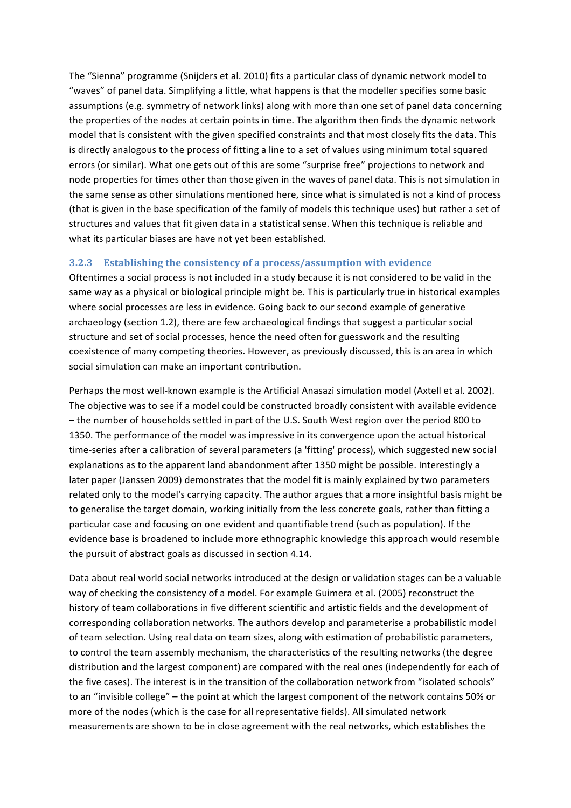The "Sienna" programme (Snijders et al. 2010) fits a particular class of dynamic network model to "waves" of panel data. Simplifying a little, what happens is that the modeller specifies some basic assumptions (e.g. symmetry of network links) along with more than one set of panel data concerning the properties of the nodes at certain points in time. The algorithm then finds the dynamic network model that is consistent with the given specified constraints and that most closely fits the data. This is directly analogous to the process of fitting a line to a set of values using minimum total squared errors (or similar). What one gets out of this are some "surprise free" projections to network and node properties for times other than those given in the waves of panel data. This is not simulation in the same sense as other simulations mentioned here, since what is simulated is not a kind of process (that is given in the base specification of the family of models this technique uses) but rather a set of structures and values that fit given data in a statistical sense. When this technique is reliable and what its particular biases are have not yet been established.

#### **3.2.3 Establishing the consistency of a process/assumption with evidence**

Oftentimes a social process is not included in a study because it is not considered to be valid in the same way as a physical or biological principle might be. This is particularly true in historical examples where social processes are less in evidence. Going back to our second example of generative archaeology (section 1.2), there are few archaeological findings that suggest a particular social structure and set of social processes, hence the need often for guesswork and the resulting coexistence of many competing theories. However, as previously discussed, this is an area in which social simulation can make an important contribution.

Perhaps the most well-known example is the Artificial Anasazi simulation model (Axtell et al. 2002). The objective was to see if a model could be constructed broadly consistent with available evidence – the number of households settled in part of the U.S. South West region over the period 800 to 1350. The performance of the model was impressive in its convergence upon the actual historical time-series after a calibration of several parameters (a 'fitting' process), which suggested new social explanations as to the apparent land abandonment after 1350 might be possible. Interestingly a later paper (Janssen 2009) demonstrates that the model fit is mainly explained by two parameters related only to the model's carrying capacity. The author argues that a more insightful basis might be to generalise the target domain, working initially from the less concrete goals, rather than fitting a particular case and focusing on one evident and quantifiable trend (such as population). If the evidence base is broadened to include more ethnographic knowledge this approach would resemble the pursuit of abstract goals as discussed in section 4.14.

Data about real world social networks introduced at the design or validation stages can be a valuable way of checking the consistency of a model. For example Guimera et al. (2005) reconstruct the history of team collaborations in five different scientific and artistic fields and the development of corresponding collaboration networks. The authors develop and parameterise a probabilistic model of team selection. Using real data on team sizes, along with estimation of probabilistic parameters, to control the team assembly mechanism, the characteristics of the resulting networks (the degree distribution and the largest component) are compared with the real ones (independently for each of the five cases). The interest is in the transition of the collaboration network from "isolated schools" to an "invisible college" – the point at which the largest component of the network contains 50% or more of the nodes (which is the case for all representative fields). All simulated network measurements are shown to be in close agreement with the real networks, which establishes the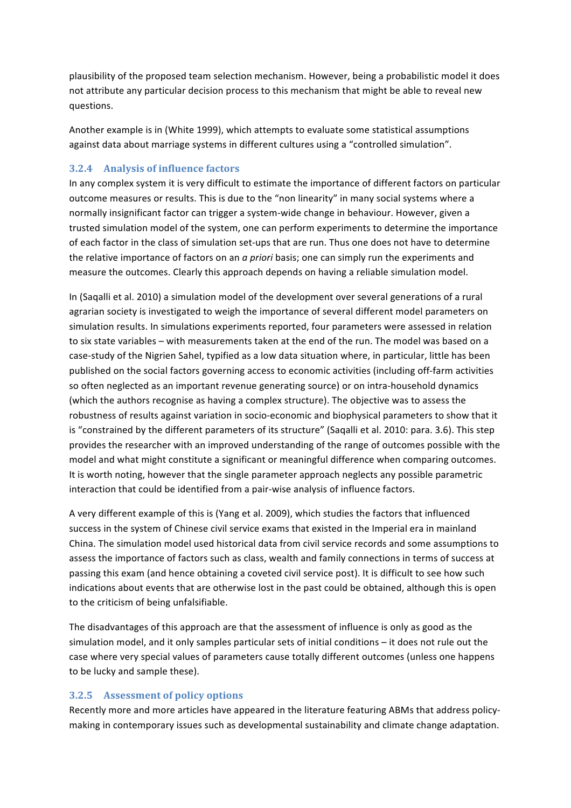plausibility of the proposed team selection mechanism. However, being a probabilistic model it does not attribute any particular decision process to this mechanism that might be able to reveal new questions.

Another example is in (White 1999), which attempts to evaluate some statistical assumptions against data about marriage systems in different cultures using a "controlled simulation".

#### **3.2.4 Analysis of influence factors**

In any complex system it is very difficult to estimate the importance of different factors on particular outcome measures or results. This is due to the "non linearity" in many social systems where a normally insignificant factor can trigger a system-wide change in behaviour. However, given a trusted simulation model of the system, one can perform experiments to determine the importance of each factor in the class of simulation set-ups that are run. Thus one does not have to determine the relative importance of factors on an *a priori* basis; one can simply run the experiments and measure the outcomes. Clearly this approach depends on having a reliable simulation model.

In (Saqalli et al. 2010) a simulation model of the development over several generations of a rural agrarian society is investigated to weigh the importance of several different model parameters on simulation results. In simulations experiments reported, four parameters were assessed in relation to six state variables – with measurements taken at the end of the run. The model was based on a case-study of the Nigrien Sahel, typified as a low data situation where, in particular, little has been published on the social factors governing access to economic activities (including off-farm activities so often neglected as an important revenue generating source) or on intra-household dynamics (which the authors recognise as having a complex structure). The objective was to assess the robustness of results against variation in socio-economic and biophysical parameters to show that it is "constrained by the different parameters of its structure" (Sagalli et al. 2010: para. 3.6). This step provides the researcher with an improved understanding of the range of outcomes possible with the model and what might constitute a significant or meaningful difference when comparing outcomes. It is worth noting, however that the single parameter approach neglects any possible parametric interaction that could be identified from a pair-wise analysis of influence factors.

A very different example of this is (Yang et al. 2009), which studies the factors that influenced success in the system of Chinese civil service exams that existed in the Imperial era in mainland China. The simulation model used historical data from civil service records and some assumptions to assess the importance of factors such as class, wealth and family connections in terms of success at passing this exam (and hence obtaining a coveted civil service post). It is difficult to see how such indications about events that are otherwise lost in the past could be obtained, although this is open to the criticism of being unfalsifiable.

The disadvantages of this approach are that the assessment of influence is only as good as the simulation model, and it only samples particular sets of initial conditions – it does not rule out the case where very special values of parameters cause totally different outcomes (unless one happens to be lucky and sample these).

#### **3.2.5 Assessment of policy options**

Recently more and more articles have appeared in the literature featuring ABMs that address policymaking in contemporary issues such as developmental sustainability and climate change adaptation.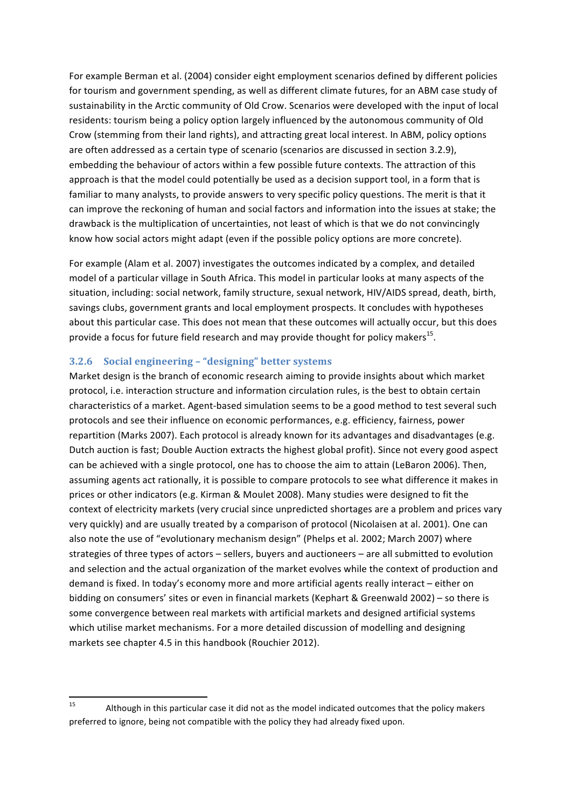For example Berman et al. (2004) consider eight employment scenarios defined by different policies for tourism and government spending, as well as different climate futures, for an ABM case study of sustainability in the Arctic community of Old Crow. Scenarios were developed with the input of local residents: tourism being a policy option largely influenced by the autonomous community of Old Crow (stemming from their land rights), and attracting great local interest. In ABM, policy options are often addressed as a certain type of scenario (scenarios are discussed in section 3.2.9), embedding the behaviour of actors within a few possible future contexts. The attraction of this approach is that the model could potentially be used as a decision support tool, in a form that is familiar to many analysts, to provide answers to very specific policy questions. The merit is that it can improve the reckoning of human and social factors and information into the issues at stake; the drawback is the multiplication of uncertainties, not least of which is that we do not convincingly know how social actors might adapt (even if the possible policy options are more concrete).

For example (Alam et al. 2007) investigates the outcomes indicated by a complex, and detailed model of a particular village in South Africa. This model in particular looks at many aspects of the situation, including: social network, family structure, sexual network, HIV/AIDS spread, death, birth, savings clubs, government grants and local employment prospects. It concludes with hypotheses about this particular case. This does not mean that these outcomes will actually occur, but this does provide a focus for future field research and may provide thought for policy makers<sup>15</sup>.

#### **3.2.6** Social engineering – "designing" better systems

############################################################

Market design is the branch of economic research aiming to provide insights about which market protocol, i.e. interaction structure and information circulation rules, is the best to obtain certain characteristics of a market. Agent-based simulation seems to be a good method to test several such protocols and see their influence on economic performances, e.g. efficiency, fairness, power repartition (Marks 2007). Each protocol is already known for its advantages and disadvantages (e.g. Dutch auction is fast; Double Auction extracts the highest global profit). Since not every good aspect can be achieved with a single protocol, one has to choose the aim to attain (LeBaron 2006). Then, assuming agents act rationally, it is possible to compare protocols to see what difference it makes in prices or other indicators (e.g. Kirman & Moulet 2008). Many studies were designed to fit the context of electricity markets (very crucial since unpredicted shortages are a problem and prices vary very quickly) and are usually treated by a comparison of protocol (Nicolaisen at al. 2001). One can also note the use of "evolutionary mechanism design" (Phelps et al. 2002; March 2007) where strategies of three types of actors – sellers, buyers and auctioneers – are all submitted to evolution and selection and the actual organization of the market evolves while the context of production and demand is fixed. In today's economy more and more artificial agents really interact – either on bidding on consumers' sites or even in financial markets (Kephart & Greenwald 2002) – so there is some convergence between real markets with artificial markets and designed artificial systems which utilise market mechanisms. For a more detailed discussion of modelling and designing markets see chapter 4.5 in this handbook (Rouchier 2012).

<sup>&</sup>lt;sup>15</sup> Although in this particular case it did not as the model indicated outcomes that the policy makers preferred to ignore, being not compatible with the policy they had already fixed upon.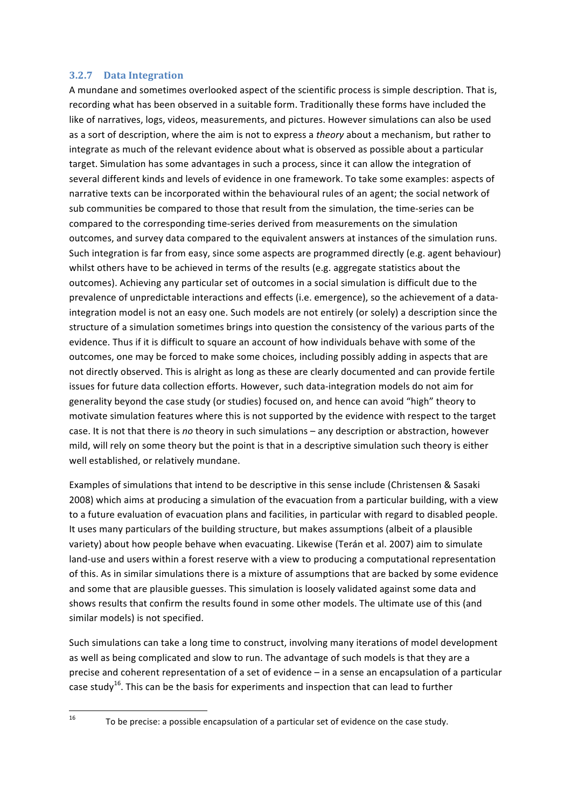#### **3.2.7 Data\$Integration**

A mundane and sometimes overlooked aspect of the scientific process is simple description. That is, recording what has been observed in a suitable form. Traditionally these forms have included the like of narratives, logs, videos, measurements, and pictures. However simulations can also be used as a sort of description, where the aim is not to express a *theory* about a mechanism, but rather to integrate as much of the relevant evidence about what is observed as possible about a particular target. Simulation has some advantages in such a process, since it can allow the integration of several different kinds and levels of evidence in one framework. To take some examples: aspects of narrative texts can be incorporated within the behavioural rules of an agent; the social network of sub communities be compared to those that result from the simulation, the time-series can be compared to the corresponding time-series derived from measurements on the simulation outcomes, and survey data compared to the equivalent answers at instances of the simulation runs. Such integration is far from easy, since some aspects are programmed directly (e.g. agent behaviour) whilst others have to be achieved in terms of the results (e.g. aggregate statistics about the outcomes). Achieving any particular set of outcomes in a social simulation is difficult due to the prevalence of unpredictable interactions and effects (i.e. emergence), so the achievement of a dataintegration model is not an easy one. Such models are not entirely (or solely) a description since the structure of a simulation sometimes brings into question the consistency of the various parts of the evidence. Thus if it is difficult to square an account of how individuals behave with some of the outcomes, one may be forced to make some choices, including possibly adding in aspects that are not directly observed. This is alright as long as these are clearly documented and can provide fertile issues for future data collection efforts. However, such data-integration models do not aim for generality beyond the case study (or studies) focused on, and hence can avoid "high" theory to motivate simulation features where this is not supported by the evidence with respect to the target case. It is not that there is *no* theory in such simulations – any description or abstraction, however mild, will rely on some theory but the point is that in a descriptive simulation such theory is either well established, or relatively mundane.

Examples of simulations that intend to be descriptive in this sense include (Christensen & Sasaki 2008) which aims at producing a simulation of the evacuation from a particular building, with a view to a future evaluation of evacuation plans and facilities, in particular with regard to disabled people. It uses many particulars of the building structure, but makes assumptions (albeit of a plausible variety) about how people behave when evacuating. Likewise (Terán et al. 2007) aim to simulate land-use and users within a forest reserve with a view to producing a computational representation of this. As in similar simulations there is a mixture of assumptions that are backed by some evidence and some that are plausible guesses. This simulation is loosely validated against some data and shows results that confirm the results found in some other models. The ultimate use of this (and similar models) is not specified.

Such simulations can take a long time to construct, involving many iterations of model development as well as being complicated and slow to run. The advantage of such models is that they are a precise and coherent representation of a set of evidence – in a sense an encapsulation of a particular case study<sup>16</sup>. This can be the basis for experiments and inspection that can lead to further

<sup>&</sup>lt;sup>16</sup> To be precise: a possible encapsulation of a particular set of evidence on the case study.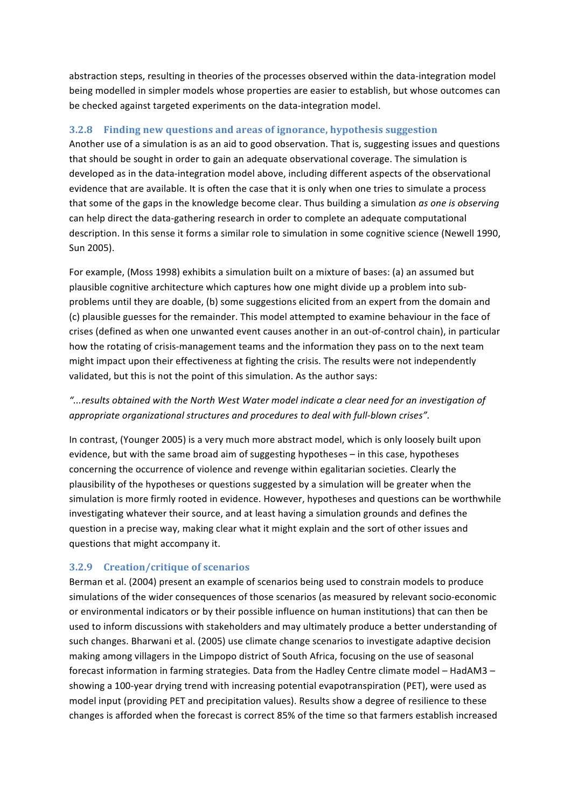abstraction steps, resulting in theories of the processes observed within the data-integration model being modelled in simpler models whose properties are easier to establish, but whose outcomes can be checked against targeted experiments on the data-integration model.

### **3.2.8** Finding new questions and areas of ignorance, hypothesis suggestion

Another use of a simulation is as an aid to good observation. That is, suggesting issues and questions that should be sought in order to gain an adequate observational coverage. The simulation is developed as in the data-integration model above, including different aspects of the observational evidence that are available. It is often the case that it is only when one tries to simulate a process that some of the gaps in the knowledge become clear. Thus building a simulation *as one is observing* can help direct the data-gathering research in order to complete an adequate computational description. In this sense it forms a similar role to simulation in some cognitive science (Newell 1990, Sun 2005).

For example, (Moss 1998) exhibits a simulation built on a mixture of bases: (a) an assumed but plausible cognitive architecture which captures how one might divide up a problem into subproblems until they are doable, (b) some suggestions elicited from an expert from the domain and (c) plausible guesses for the remainder. This model attempted to examine behaviour in the face of crises (defined as when one unwanted event causes another in an out-of-control chain), in particular how the rotating of crisis-management teams and the information they pass on to the next team might impact upon their effectiveness at fighting the crisis. The results were not independently validated, but this is not the point of this simulation. As the author says:

### *"...results'obtained'with'the'North'West'Water'model'indicate'a'clear'need'for'an'investigation'of' appropriate organizational structures and procedures to deal with full-blown crises".*

In contrast, (Younger 2005) is a very much more abstract model, which is only loosely built upon evidence, but with the same broad aim of suggesting hypotheses – in this case, hypotheses concerning the occurrence of violence and revenge within egalitarian societies. Clearly the plausibility of the hypotheses or questions suggested by a simulation will be greater when the simulation is more firmly rooted in evidence. However, hypotheses and questions can be worthwhile investigating whatever their source, and at least having a simulation grounds and defines the question in a precise way, making clear what it might explain and the sort of other issues and questions that might accompany it.

### **3.2.9 Creation/critique of scenarios**

Berman et al. (2004) present an example of scenarios being used to constrain models to produce simulations of the wider consequences of those scenarios (as measured by relevant socio-economic or environmental indicators or by their possible influence on human institutions) that can then be used to inform discussions with stakeholders and may ultimately produce a better understanding of such changes. Bharwani et al. (2005) use climate change scenarios to investigate adaptive decision making among villagers in the Limpopo district of South Africa, focusing on the use of seasonal forecast information in farming strategies. Data from the Hadley Centre climate model – HadAM3 – showing a 100-year drying trend with increasing potential evapotranspiration (PET), were used as model input (providing PET and precipitation values). Results show a degree of resilience to these changes is afforded when the forecast is correct 85% of the time so that farmers establish increased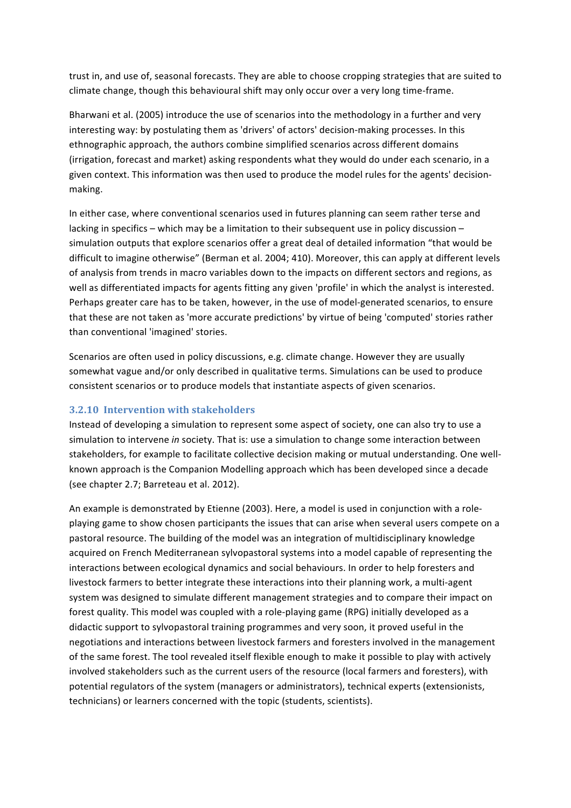trust in, and use of, seasonal forecasts. They are able to choose cropping strategies that are suited to climate change, though this behavioural shift may only occur over a very long time-frame.

Bharwani et al. (2005) introduce the use of scenarios into the methodology in a further and very interesting way: by postulating them as 'drivers' of actors' decision-making processes. In this ethnographic approach, the authors combine simplified scenarios across different domains (irrigation, forecast and market) asking respondents what they would do under each scenario, in a given context. This information was then used to produce the model rules for the agents' decisionmaking.

In either case, where conventional scenarios used in futures planning can seem rather terse and lacking in specifics – which may be a limitation to their subsequent use in policy discussion – simulation outputs that explore scenarios offer a great deal of detailed information "that would be difficult to imagine otherwise" (Berman et al. 2004; 410). Moreover, this can apply at different levels of analysis from trends in macro variables down to the impacts on different sectors and regions, as well as differentiated impacts for agents fitting any given 'profile' in which the analyst is interested. Perhaps greater care has to be taken, however, in the use of model-generated scenarios, to ensure that these are not taken as 'more accurate predictions' by virtue of being 'computed' stories rather than conventional 'imagined' stories.

Scenarios are often used in policy discussions, e.g. climate change. However they are usually somewhat vague and/or only described in qualitative terms. Simulations can be used to produce consistent scenarios or to produce models that instantiate aspects of given scenarios.

#### **3.2.10** Intervention with stakeholders

Instead of developing a simulation to represent some aspect of society, one can also try to use a simulation to intervene *in* society. That is: use a simulation to change some interaction between stakeholders, for example to facilitate collective decision making or mutual understanding. One wellknown approach is the Companion Modelling approach which has been developed since a decade (see chapter 2.7; Barreteau et al. 2012).

An example is demonstrated by Etienne (2003). Here, a model is used in conjunction with a roleplaying game to show chosen participants the issues that can arise when several users compete on a pastoral resource. The building of the model was an integration of multidisciplinary knowledge acquired on French Mediterranean sylvopastoral systems into a model capable of representing the interactions between ecological dynamics and social behaviours. In order to help foresters and livestock farmers to better integrate these interactions into their planning work, a multi-agent system was designed to simulate different management strategies and to compare their impact on forest quality. This model was coupled with a role-playing game (RPG) initially developed as a didactic support to sylvopastoral training programmes and very soon, it proved useful in the negotiations and interactions between livestock farmers and foresters involved in the management of the same forest. The tool revealed itself flexible enough to make it possible to play with actively involved stakeholders such as the current users of the resource (local farmers and foresters), with potential regulators of the system (managers or administrators), technical experts (extensionists, technicians) or learners concerned with the topic (students, scientists).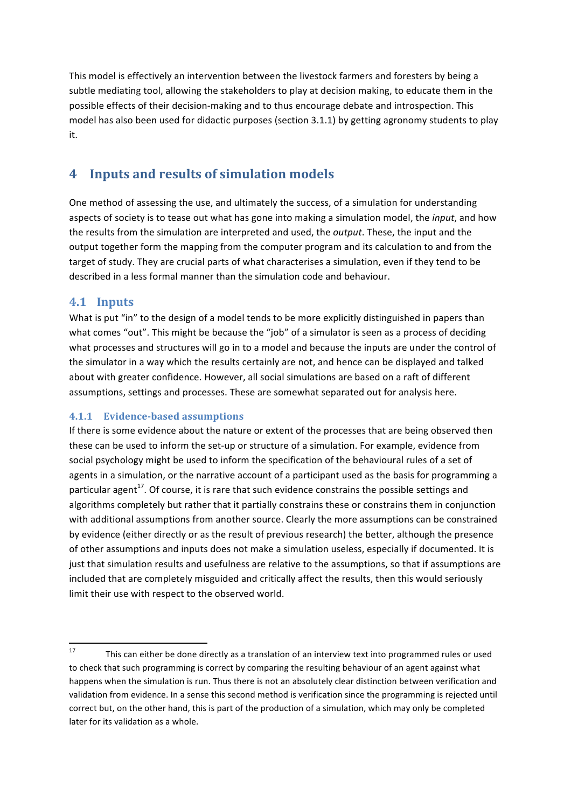This model is effectively an intervention between the livestock farmers and foresters by being a subtle mediating tool, allowing the stakeholders to play at decision making, to educate them in the possible effects of their decision-making and to thus encourage debate and introspection. This model has also been used for didactic purposes (section 3.1.1) by getting agronomy students to play it.

# **4 Inputs and results of simulation models**

One method of assessing the use, and ultimately the success, of a simulation for understanding aspects of society is to tease out what has gone into making a simulation model, the *input*, and how the results from the simulation are interpreted and used, the *output*. These, the input and the output together form the mapping from the computer program and its calculation to and from the target of study. They are crucial parts of what characterises a simulation, even if they tend to be described in a less formal manner than the simulation code and behaviour.

### **4.1 Inputs**

What is put "in" to the design of a model tends to be more explicitly distinguished in papers than what comes "out". This might be because the "job" of a simulator is seen as a process of deciding what processes and structures will go in to a model and because the inputs are under the control of the simulator in a way which the results certainly are not, and hence can be displayed and talked about with greater confidence. However, all social simulations are based on a raft of different assumptions, settings and processes. These are somewhat separated out for analysis here.

### **4.1.1 Evidence-based assumptions**

############################################################

If there is some evidence about the nature or extent of the processes that are being observed then these can be used to inform the set-up or structure of a simulation. For example, evidence from social psychology might be used to inform the specification of the behavioural rules of a set of agents in a simulation, or the narrative account of a participant used as the basis for programming a particular agent<sup>17</sup>. Of course, it is rare that such evidence constrains the possible settings and algorithms completely but rather that it partially constrains these or constrains them in conjunction with additional assumptions from another source. Clearly the more assumptions can be constrained by evidence (either directly or as the result of previous research) the better, although the presence of other assumptions and inputs does not make a simulation useless, especially if documented. It is just that simulation results and usefulness are relative to the assumptions, so that if assumptions are included that are completely misguided and critically affect the results, then this would seriously limit their use with respect to the observed world.

<sup>17</sup> This can either be done directly as a translation of an interview text into programmed rules or used to check that such programming is correct by comparing the resulting behaviour of an agent against what happens when the simulation is run. Thus there is not an absolutely clear distinction between verification and validation from evidence. In a sense this second method is verification since the programming is rejected until correct but, on the other hand, this is part of the production of a simulation, which may only be completed later for its validation as a whole.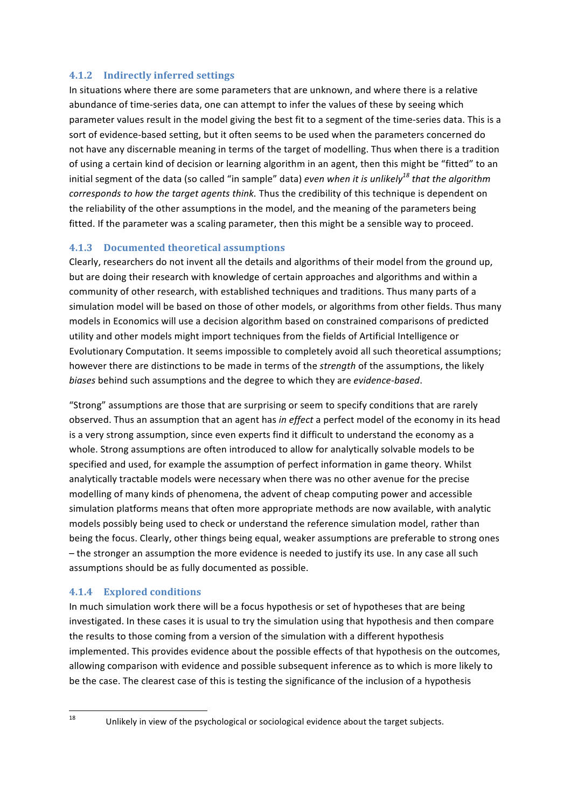#### **4.1.2** Indirectly inferred settings

In situations where there are some parameters that are unknown, and where there is a relative abundance of time-series data, one can attempt to infer the values of these by seeing which parameter values result in the model giving the best fit to a segment of the time-series data. This is a sort of evidence-based setting, but it often seems to be used when the parameters concerned do not have any discernable meaning in terms of the target of modelling. Thus when there is a tradition of using a certain kind of decision or learning algorithm in an agent, then this might be "fitted" to an initial segment of the data (so called "in sample" data) *even when it is unlikely<sup>18</sup> that the algorithm corresponds to how the target agents think.* Thus the credibility of this technique is dependent on the reliability of the other assumptions in the model, and the meaning of the parameters being fitted. If the parameter was a scaling parameter, then this might be a sensible way to proceed.

#### **4.1.3 Documented\$theoretical assumptions**

Clearly, researchers do not invent all the details and algorithms of their model from the ground up, but are doing their research with knowledge of certain approaches and algorithms and within a community of other research, with established techniques and traditions. Thus many parts of a simulation model will be based on those of other models, or algorithms from other fields. Thus many models in Economics will use a decision algorithm based on constrained comparisons of predicted utility and other models might import techniques from the fields of Artificial Intelligence or Evolutionary Computation. It seems impossible to completely avoid all such theoretical assumptions; however there are distinctions to be made in terms of the *strength* of the assumptions, the likely *biases* behind such assumptions and the degree to which they are *evidence-based*.

"Strong" assumptions are those that are surprising or seem to specify conditions that are rarely observed. Thus an assumption that an agent has *in effect* a perfect model of the economy in its head is a very strong assumption, since even experts find it difficult to understand the economy as a whole. Strong assumptions are often introduced to allow for analytically solvable models to be specified and used, for example the assumption of perfect information in game theory. Whilst analytically tractable models were necessary when there was no other avenue for the precise modelling of many kinds of phenomena, the advent of cheap computing power and accessible simulation platforms means that often more appropriate methods are now available, with analytic models possibly being used to check or understand the reference simulation model, rather than being the focus. Clearly, other things being equal, weaker assumptions are preferable to strong ones – the stronger an assumption the more evidence is needed to justify its use. In any case all such assumptions should be as fully documented as possible.

#### **4.1.4 Explored conditions**

In much simulation work there will be a focus hypothesis or set of hypotheses that are being investigated. In these cases it is usual to try the simulation using that hypothesis and then compare the results to those coming from a version of the simulation with a different hypothesis implemented. This provides evidence about the possible effects of that hypothesis on the outcomes, allowing comparison with evidence and possible subsequent inference as to which is more likely to be the case. The clearest case of this is testing the significance of the inclusion of a hypothesis

<sup>&</sup>lt;sup>18</sup> Unlikely in view of the psychological or sociological evidence about the target subjects.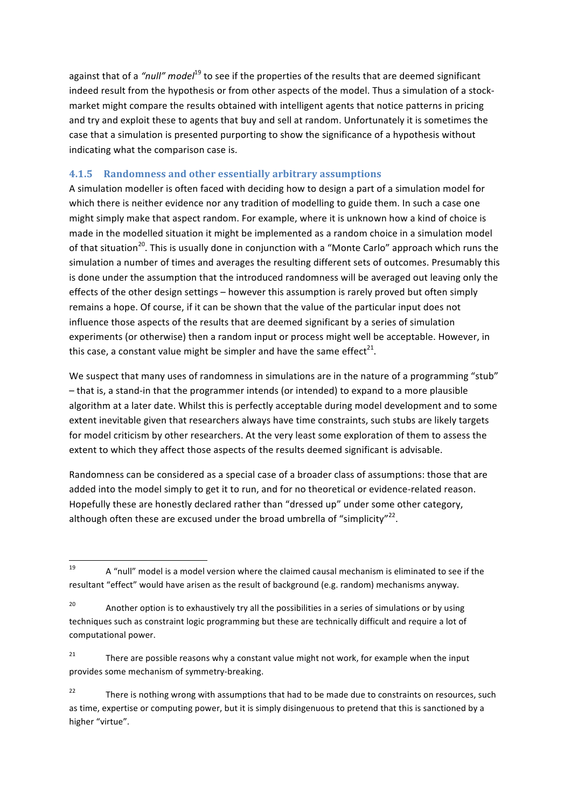against that of a "null" model<sup>19</sup> to see if the properties of the results that are deemed significant indeed result from the hypothesis or from other aspects of the model. Thus a simulation of a stockmarket might compare the results obtained with intelligent agents that notice patterns in pricing and try and exploit these to agents that buy and sell at random. Unfortunately it is sometimes the case that a simulation is presented purporting to show the significance of a hypothesis without indicating what the comparison case is.

### **4.1.5** Randomness and other essentially arbitrary assumptions

A simulation modeller is often faced with deciding how to design a part of a simulation model for which there is neither evidence nor any tradition of modelling to guide them. In such a case one might simply make that aspect random. For example, where it is unknown how a kind of choice is made in the modelled situation it might be implemented as a random choice in a simulation model of that situation<sup>20</sup>. This is usually done in conjunction with a "Monte Carlo" approach which runs the simulation a number of times and averages the resulting different sets of outcomes. Presumably this is done under the assumption that the introduced randomness will be averaged out leaving only the effects of the other design settings – however this assumption is rarely proved but often simply remains a hope. Of course, if it can be shown that the value of the particular input does not influence those aspects of the results that are deemed significant by a series of simulation experiments (or otherwise) then a random input or process might well be acceptable. However, in this case, a constant value might be simpler and have the same effect<sup>21</sup>.

We suspect that many uses of randomness in simulations are in the nature of a programming "stub" – that is, a stand-in that the programmer intends (or intended) to expand to a more plausible algorithm at a later date. Whilst this is perfectly acceptable during model development and to some extent inevitable given that researchers always have time constraints, such stubs are likely targets for model criticism by other researchers. At the very least some exploration of them to assess the extent to which they affect those aspects of the results deemed significant is advisable.

Randomness can be considered as a special case of a broader class of assumptions: those that are added into the model simply to get it to run, and for no theoretical or evidence-related reason. Hopefully these are honestly declared rather than "dressed up" under some other category, although often these are excused under the broad umbrella of "simplicity"<sup>22</sup>.

<sup>&</sup>lt;sup>19</sup> A "null" model is a model version where the claimed causal mechanism is eliminated to see if the resultant "effect" would have arisen as the result of background (e.g. random) mechanisms anyway.

<sup>&</sup>lt;sup>20</sup> Another option is to exhaustively try all the possibilities in a series of simulations or by using techniques such as constraint logic programming but these are technically difficult and require a lot of computational power.

<sup>&</sup>lt;sup>21</sup> There are possible reasons why a constant value might not work, for example when the input provides some mechanism of symmetry-breaking.

<sup>&</sup>lt;sup>22</sup> There is nothing wrong with assumptions that had to be made due to constraints on resources, such as time, expertise or computing power, but it is simply disingenuous to pretend that this is sanctioned by a higher "virtue".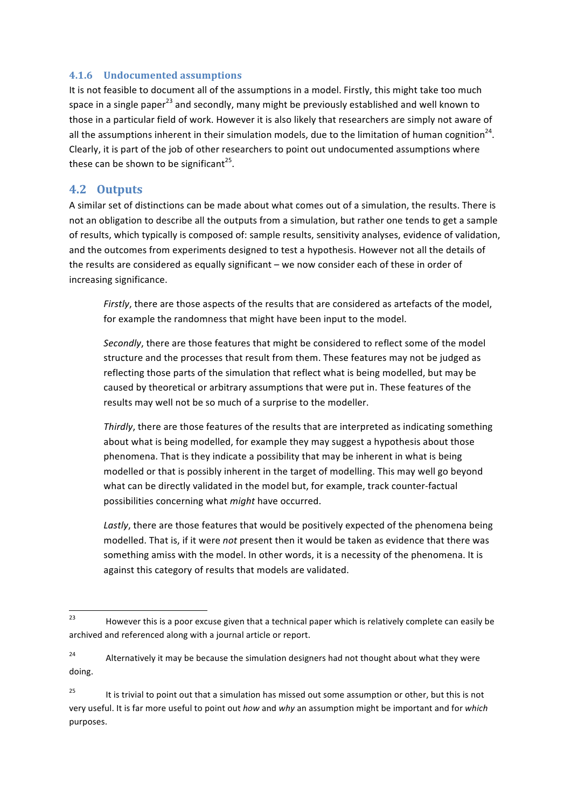#### **4.1.6** Undocumented assumptions

It is not feasible to document all of the assumptions in a model. Firstly, this might take too much space in a single paper<sup>23</sup> and secondly, many might be previously established and well known to those in a particular field of work. However it is also likely that researchers are simply not aware of all the assumptions inherent in their simulation models, due to the limitation of human cognition<sup>24</sup>. Clearly, it is part of the job of other researchers to point out undocumented assumptions where these can be shown to be significant<sup>25</sup>.

### **4.2 Outputs**

############################################################

A similar set of distinctions can be made about what comes out of a simulation, the results. There is not an obligation to describe all the outputs from a simulation, but rather one tends to get a sample of results, which typically is composed of: sample results, sensitivity analyses, evidence of validation, and the outcomes from experiments designed to test a hypothesis. However not all the details of the results are considered as equally significant – we now consider each of these in order of increasing significance.

*Firstly*, there are those aspects of the results that are considered as artefacts of the model, for example the randomness that might have been input to the model.

*Secondly*, there are those features that might be considered to reflect some of the model structure and the processes that result from them. These features may not be judged as reflecting those parts of the simulation that reflect what is being modelled, but may be caused by theoretical or arbitrary assumptions that were put in. These features of the results may well not be so much of a surprise to the modeller.

*Thirdly*, there are those features of the results that are interpreted as indicating something about what is being modelled, for example they may suggest a hypothesis about those phenomena. That is they indicate a possibility that may be inherent in what is being modelled or that is possibly inherent in the target of modelling. This may well go beyond what can be directly validated in the model but, for example, track counter-factual possibilities#concerning#what#*might* have#occurred.

Lastly, there are those features that would be positively expected of the phenomena being modelled. That is, if it were *not* present then it would be taken as evidence that there was something amiss with the model. In other words, it is a necessity of the phenomena. It is against this category of results that models are validated.

<sup>&</sup>lt;sup>23</sup> However this is a poor excuse given that a technical paper which is relatively complete can easily be archived and referenced along with a journal article or report.

<sup>&</sup>lt;sup>24</sup> Alternatively it may be because the simulation designers had not thought about what they were doing.

<sup>&</sup>lt;sup>25</sup> It is trivial to point out that a simulation has missed out some assumption or other, but this is not very useful. It is far more useful to point out *how* and why an assumption might be important and for *which* purposes.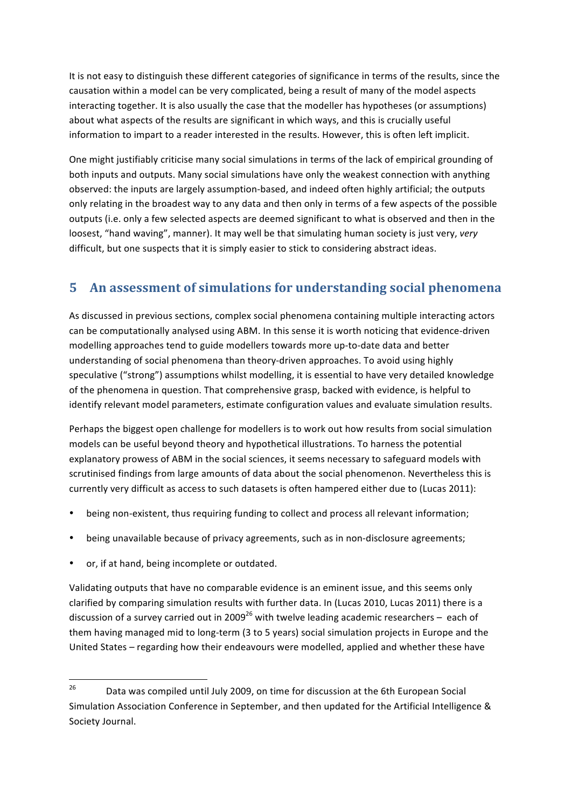It is not easy to distinguish these different categories of significance in terms of the results, since the causation within a model can be very complicated, being a result of many of the model aspects interacting together. It is also usually the case that the modeller has hypotheses (or assumptions) about what aspects of the results are significant in which ways, and this is crucially useful information to impart to a reader interested in the results. However, this is often left implicit.

One might justifiably criticise many social simulations in terms of the lack of empirical grounding of both inputs and outputs. Many social simulations have only the weakest connection with anything observed: the inputs are largely assumption-based, and indeed often highly artificial; the outputs only relating in the broadest way to any data and then only in terms of a few aspects of the possible outputs (i.e. only a few selected aspects are deemed significant to what is observed and then in the loosest, "hand waving", manner). It may well be that simulating human society is just very, *very* difficult, but one suspects that it is simply easier to stick to considering abstract ideas.

# **5** An assessment of simulations for understanding social phenomena

As discussed in previous sections, complex social phenomena containing multiple interacting actors can be computationally analysed using ABM. In this sense it is worth noticing that evidence-driven modelling approaches tend to guide modellers towards more up-to-date data and better understanding of social phenomena than theory-driven approaches. To avoid using highly speculative ("strong") assumptions whilst modelling, it is essential to have very detailed knowledge of the phenomena in question. That comprehensive grasp, backed with evidence, is helpful to identify relevant model parameters, estimate configuration values and evaluate simulation results.

Perhaps the biggest open challenge for modellers is to work out how results from social simulation models can be useful beyond theory and hypothetical illustrations. To harness the potential explanatory prowess of ABM in the social sciences, it seems necessary to safeguard models with scrutinised findings from large amounts of data about the social phenomenon. Nevertheless this is currently very difficult as access to such datasets is often hampered either due to (Lucas 2011):

- being non-existent, thus requiring funding to collect and process all relevant information;
- being unavailable because of privacy agreements, such as in non-disclosure agreements;
- or, if at hand, being incomplete or outdated.

############################################################

Validating outputs that have no comparable evidence is an eminent issue, and this seems only clarified by comparing simulation results with further data. In (Lucas 2010, Lucas 2011) there is a discussion of a survey carried out in 2009<sup>26</sup> with twelve leading academic researchers – each of them having managed mid to long-term (3 to 5 years) social simulation projects in Europe and the United States – regarding how their endeavours were modelled, applied and whether these have

<sup>&</sup>lt;sup>26</sup> Data was compiled until July 2009, on time for discussion at the 6th European Social Simulation Association Conference in September, and then updated for the Artificial Intelligence & Society Journal.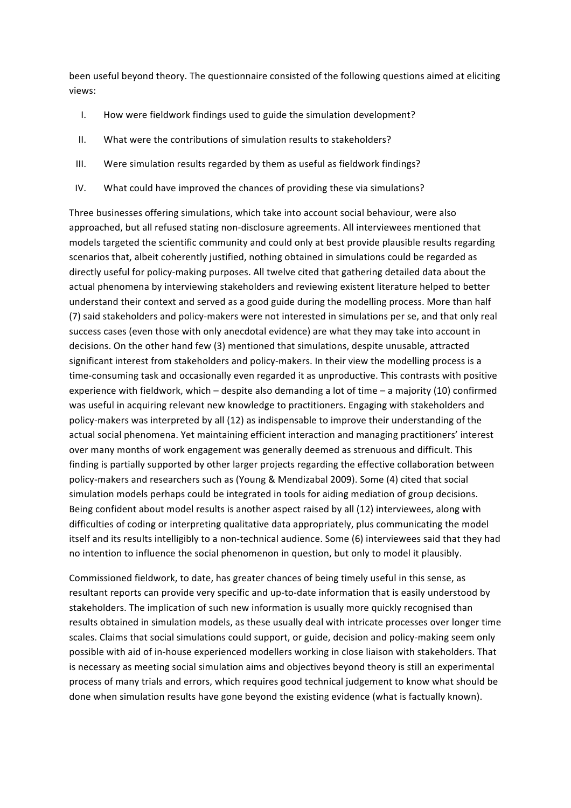been useful beyond theory. The questionnaire consisted of the following questions aimed at eliciting views:

- I. How were fieldwork findings used to guide the simulation development?
- II. What were the contributions of simulation results to stakeholders?
- III. Were simulation results regarded by them as useful as fieldwork findings?
- IV. What could have improved the chances of providing these via simulations?

Three businesses offering simulations, which take into account social behaviour, were also approached, but all refused stating non-disclosure agreements. All interviewees mentioned that models targeted the scientific community and could only at best provide plausible results regarding scenarios that, albeit coherently justified, nothing obtained in simulations could be regarded as directly useful for policy-making purposes. All twelve cited that gathering detailed data about the actual phenomena by interviewing stakeholders and reviewing existent literature helped to better understand their context and served as a good guide during the modelling process. More than half (7) said stakeholders and policy-makers were not interested in simulations per se, and that only real success cases (even those with only anecdotal evidence) are what they may take into account in decisions. On the other hand few (3) mentioned that simulations, despite unusable, attracted significant interest from stakeholders and policy-makers. In their view the modelling process is a time-consuming task and occasionally even regarded it as unproductive. This contrasts with positive experience with fieldwork, which – despite also demanding a lot of time – a majority (10) confirmed was useful in acquiring relevant new knowledge to practitioners. Engaging with stakeholders and policy-makers was interpreted by all (12) as indispensable to improve their understanding of the actual social phenomena. Yet maintaining efficient interaction and managing practitioners' interest over many months of work engagement was generally deemed as strenuous and difficult. This finding is partially supported by other larger projects regarding the effective collaboration between policy-makers and researchers such as (Young & Mendizabal 2009). Some (4) cited that social simulation models perhaps could be integrated in tools for aiding mediation of group decisions. Being confident about model results is another aspect raised by all (12) interviewees, along with difficulties of coding or interpreting qualitative data appropriately, plus communicating the model itself and its results intelligibly to a non-technical audience. Some (6) interviewees said that they had no intention to influence the social phenomenon in question, but only to model it plausibly.

Commissioned fieldwork, to date, has greater chances of being timely useful in this sense, as resultant reports can provide very specific and up-to-date information that is easily understood by stakeholders. The implication of such new information is usually more quickly recognised than results obtained in simulation models, as these usually deal with intricate processes over longer time scales. Claims that social simulations could support, or guide, decision and policy-making seem only possible with aid of in-house experienced modellers working in close liaison with stakeholders. That is necessary as meeting social simulation aims and objectives beyond theory is still an experimental process of many trials and errors, which requires good technical judgement to know what should be done when simulation results have gone beyond the existing evidence (what is factually known).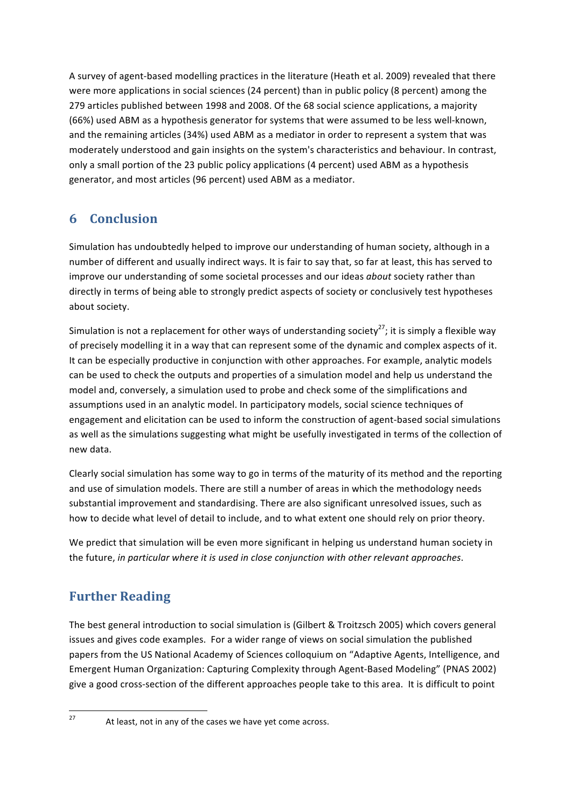A survey of agent-based modelling practices in the literature (Heath et al. 2009) revealed that there were more applications in social sciences (24 percent) than in public policy (8 percent) among the 279 articles published between 1998 and 2008. Of the 68 social science applications, a majority (66%) used ABM as a hypothesis generator for systems that were assumed to be less well-known, and the remaining articles (34%) used ABM as a mediator in order to represent a system that was moderately understood and gain insights on the system's characteristics and behaviour. In contrast, only a small portion of the 23 public policy applications (4 percent) used ABM as a hypothesis generator, and most articles (96 percent) used ABM as a mediator.

# **6 Conclusion**

Simulation has undoubtedly helped to improve our understanding of human society, although in a number of different and usually indirect ways. It is fair to say that, so far at least, this has served to improve our understanding of some societal processes and our ideas *about* society rather than directly in terms of being able to strongly predict aspects of society or conclusively test hypotheses about society.

Simulation is not a replacement for other ways of understanding society<sup>27</sup>; it is simply a flexible way of precisely modelling it in a way that can represent some of the dynamic and complex aspects of it. It can be especially productive in conjunction with other approaches. For example, analytic models can be used to check the outputs and properties of a simulation model and help us understand the model and, conversely, a simulation used to probe and check some of the simplifications and assumptions used in an analytic model. In participatory models, social science techniques of engagement and elicitation can be used to inform the construction of agent-based social simulations as well as the simulations suggesting what might be usefully investigated in terms of the collection of new data.

Clearly social simulation has some way to go in terms of the maturity of its method and the reporting and use of simulation models. There are still a number of areas in which the methodology needs substantial improvement and standardising. There are also significant unresolved issues, such as how to decide what level of detail to include, and to what extent one should rely on prior theory.

We predict that simulation will be even more significant in helping us understand human society in the future, *in particular where it is used in close conjunction with other relevant approaches*.

# **Further Reading**

The best general introduction to social simulation is (Gilbert & Troitzsch 2005) which covers general issues and gives code examples. For a wider range of views on social simulation the published papers from the US National Academy of Sciences colloquium on "Adaptive Agents, Intelligence, and Emergent Human Organization: Capturing Complexity through Agent-Based Modeling" (PNAS 2002) give a good cross-section of the different approaches people take to this area. It is difficult to point

<sup>############################################################</sup>

<sup>&</sup>lt;sup>27</sup> At least, not in any of the cases we have yet come across.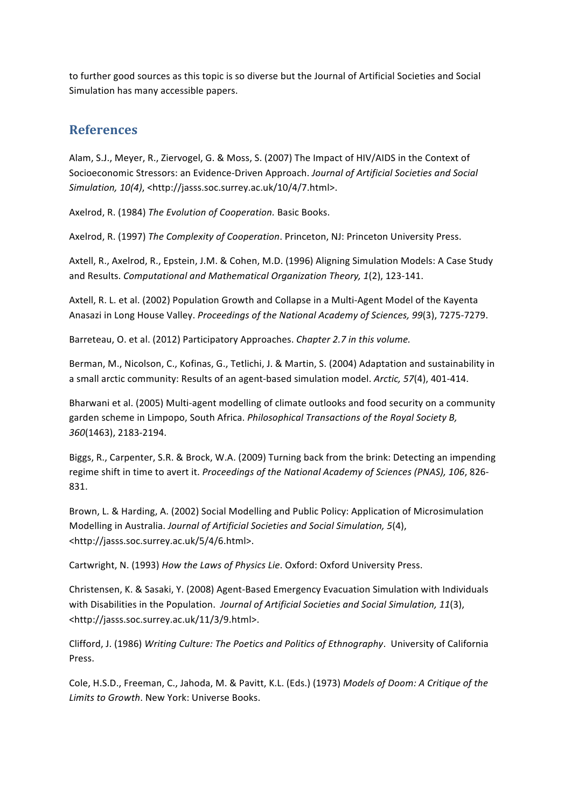to further good sources as this topic is so diverse but the Journal of Artificial Societies and Social Simulation has many accessible papers.

# **References**

Alam, S.J., Meyer, R., Ziervogel, G. & Moss, S. (2007) The Impact of HIV/AIDS in the Context of Socioeconomic Stressors: an Evidence-Driven Approach. *Journal of Artificial Societies and Social Simulation, 10(4)*, <http://jasss.soc.surrey.ac.uk/10/4/7.html>.

Axelrod, R. (1984) *The Evolution of Cooperation*. Basic Books.

Axelrod, R. (1997) The Complexity of Cooperation. Princeton, NJ: Princeton University Press.

Axtell, R., Axelrod, R., Epstein, J.M. & Cohen, M.D. (1996) Aligning Simulation Models: A Case Study and Results. *Computational and Mathematical Organization Theory, 1*(2), 123-141.

Axtell, R. L. et al. (2002) Population Growth and Collapse in a Multi-Agent Model of the Kayenta Anasazi in Long House Valley. *Proceedings of the National Academy of Sciences, 99*(3), 7275-7279.

Barreteau, O. et al. (2012) Participatory Approaches. *Chapter 2.7 in this volume.* 

Berman, M., Nicolson, C., Kofinas, G., Tetlichi, J. & Martin, S. (2004) Adaptation and sustainability in a small arctic community: Results of an agent-based simulation model. *Arctic, 57*(4), 401-414.

Bharwani et al. (2005) Multi-agent modelling of climate outlooks and food security on a community garden scheme in Limpopo, South Africa. *Philosophical Transactions of the Royal Society B*, 360(1463), 2183-2194.

Biggs, R., Carpenter, S.R. & Brock, W.A. (2009) Turning back from the brink: Detecting an impending regime shift in time to avert it. *Proceedings of the National Academy of Sciences (PNAS), 106, 826-*831.

Brown, L. & Harding, A. (2002) Social Modelling and Public Policy: Application of Microsimulation Modelling in Australia. *Journal of Artificial Societies and Social Simulation*, *5*(4), <http://jasss.soc.surrey.ac.uk/5/4/6.html>.

Cartwright, N. (1993) How the Laws of Physics Lie. Oxford: Oxford University Press.

Christensen, K. & Sasaki, Y. (2008) Agent-Based Emergency Evacuation Simulation with Individuals with Disabilities in the Population. *Journal of Artificial Societies and Social Simulation, 11*(3), <http://jasss.soc.surrey.ac.uk/11/3/9.html>.

Clifford, J. (1986) *Writing Culture: The Poetics and Politics of Ethnography*. University of California Press.

Cole, H.S.D., Freeman, C., Jahoda, M. & Pavitt, K.L. (Eds.) (1973) *Models of Doom: A Critique of the* Limits to Growth. New York: Universe Books.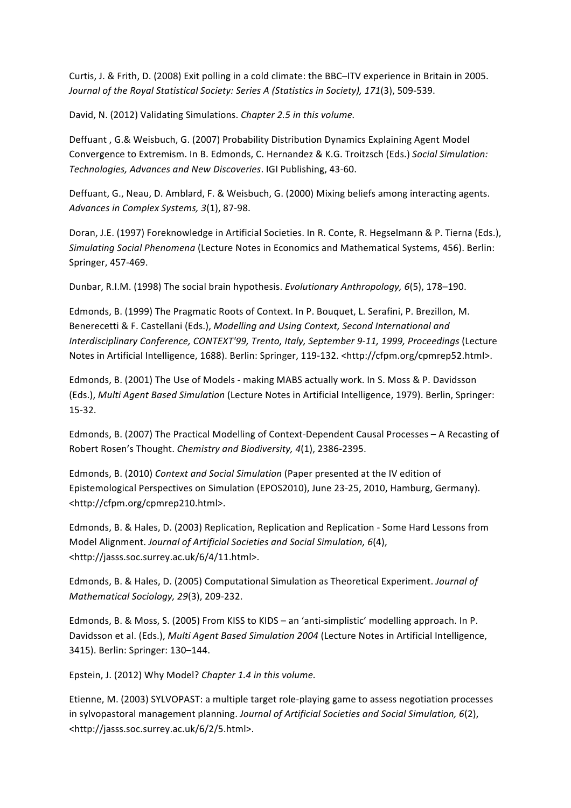Curtis, J. & Frith, D. (2008) Exit polling in a cold climate: the BBC–ITV experience in Britain in 2005. Journal of the Royal Statistical Society: Series A (Statistics in Society), 171(3), 509-539.

David, N. (2012) Validating Simulations. *Chapter 2.5 in this volume.* 

Deffuant, G.& Weisbuch, G. (2007) Probability Distribution Dynamics Explaining Agent Model Convergence to Extremism. In B. Edmonds, C. Hernandez & K.G. Troitzsch (Eds.) Social Simulation: *Technologies, Advances and New Discoveries*. IGI Publishing, 43-60.

Deffuant, G., Neau, D. Amblard, F. & Weisbuch, G. (2000) Mixing beliefs among interacting agents. Advances in Complex Systems, 3(1), 87-98.

Doran, J.E. (1997) Foreknowledge in Artificial Societies. In R. Conte, R. Hegselmann & P. Tierna (Eds.), *Simulating Social Phenomena* (Lecture Notes in Economics and Mathematical Systems, 456). Berlin: Springer, 457-469.

Dunbar, R.I.M. (1998) The social brain hypothesis. *Evolutionary Anthropology, 6*(5), 178–190.

Edmonds, B. (1999) The Pragmatic Roots of Context. In P. Bouquet, L. Serafini, P. Brezillon, M. Benerecetti & F. Castellani (Eds.), *Modelling and Using Context, Second International and Interdisciplinary Conference, CONTEXT'99, Trento, Italy, September 9-11, 1999, Proceedings* (Lecture Notes in Artificial Intelligence, 1688). Berlin: Springer, 119-132. <http://cfpm.org/cpmrep52.html>.

Edmonds, B. (2001) The Use of Models - making MABS actually work. In S. Moss & P. Davidsson (Eds.), *Multi Agent Based Simulation* (Lecture Notes in Artificial Intelligence, 1979). Berlin, Springer:  $15-32.$ 

Edmonds, B. (2007) The Practical Modelling of Context-Dependent Causal Processes – A Recasting of Robert Rosen's Thought. *Chemistry and Biodiversity, 4*(1), 2386-2395.

Edmonds, B. (2010) Context and Social Simulation (Paper presented at the IV edition of Epistemological Perspectives on Simulation (EPOS2010), June 23-25, 2010, Hamburg, Germany). <http://cfpm.org/cpmrep210.html>.

Edmonds, B. & Hales, D. (2003) Replication, Replication and Replication - Some Hard Lessons from Model Alignment. *Journal of Artificial Societies and Social Simulation,* 6(4), <http://jasss.soc.surrey.ac.uk/6/4/11.html>.

Edmonds, B. & Hales, D. (2005) Computational Simulation as Theoretical Experiment. *Journal of Mathematical Sociology, 29*(3), 209-232.

Edmonds, B. & Moss, S. (2005) From KISS to KIDS – an 'anti-simplistic' modelling approach. In P. Davidsson et al. (Eds.), *Multi Agent Based Simulation 2004* (Lecture Notes in Artificial Intelligence, 3415). Berlin: Springer: 130–144.

Epstein, J. (2012) Why Model? *Chapter 1.4 in this volume.* 

Etienne, M. (2003) SYLVOPAST: a multiple target role-playing game to assess negotiation processes in sylvopastoral management planning. *Journal of Artificial Societies and Social Simulation, 6*(2), <http://jasss.soc.surrey.ac.uk/6/2/5.html>.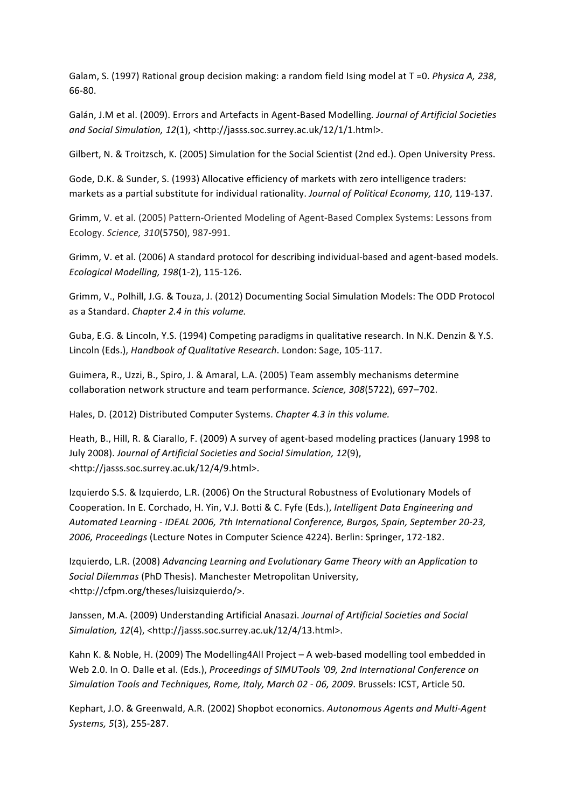Galam, S. (1997) Rational group decision making: a random field Ising model at T = 0. *Physica A, 238*, 66-80.

Galán, J.M et al. (2009). Errors and Artefacts in Agent-Based Modelling. Journal of Artificial Societies and Social Simulation, 12(1), <http://jasss.soc.surrey.ac.uk/12/1/1.html>.

Gilbert, N. & Troitzsch, K. (2005) Simulation for the Social Scientist (2nd ed.). Open University Press.

Gode, D.K. & Sunder, S. (1993) Allocative efficiency of markets with zero intelligence traders: markets as a partial substitute for individual rationality. *Journal of Political Economy, 110*, 119-137.

Grimm, V. et al. (2005) Pattern-Oriented Modeling of Agent-Based Complex Systems: Lessons from Ecology. *Science*, 310(5750), 987-991.

Grimm, V. et al. (2006) A standard protocol for describing individual-based and agent-based models. *Ecological Modelling, 198*(1-2), 115-126.

Grimm, V., Polhill, J.G. & Touza, J. (2012) Documenting Social Simulation Models: The ODD Protocol as a Standard. *Chapter 2.4 in this volume.* 

Guba, E.G. & Lincoln, Y.S. (1994) Competing paradigms in qualitative research. In N.K. Denzin & Y.S. Lincoln (Eds.), *Handbook of Qualitative Research*. London: Sage, 105-117.

Guimera, R., Uzzi, B., Spiro, J. & Amaral, L.A. (2005) Team assembly mechanisms determine collaboration network structure and team performance. *Science, 308*(5722), 697–702.

Hales, D. (2012) Distributed Computer Systems. *Chapter 4.3 in this volume.* 

Heath, B., Hill, R. & Ciarallo, F. (2009) A survey of agent-based modeling practices (January 1998 to July#2008).#*Journal'of'Artificial'Societies'and'Social'Simulation,'12*(9), <http://jasss.soc.surrey.ac.uk/12/4/9.html>.

Izquierdo S.S. & Izquierdo, L.R. (2006) On the Structural Robustness of Evolutionary Models of Cooperation. In E. Corchado, H. Yin, V.J. Botti & C. Fyfe (Eds.), *Intelligent Data Engineering and Automated'Learning'; IDEAL'2006,'7th'International'Conference,'Burgos,'Spain,'September'20;23,'* 2006, Proceedings (Lecture Notes in Computer Science 4224). Berlin: Springer, 172-182.

Izquierdo, L.R. (2008) *Advancing Learning and Evolutionary Game Theory with an Application to Social Dilemmas* (PhD Thesis). Manchester Metropolitan University, <http://cfpm.org/theses/luisizquierdo/>.

Janssen, M.A. (2009) Understanding Artificial Anasazi. *Journal of Artificial Societies and Social Simulation, 12*(4), <http://jasss.soc.surrey.ac.uk/12/4/13.html>.

Kahn K. & Noble, H. (2009) The Modelling4All Project – A web-based modelling tool embedded in Web 2.0. In O. Dalle et al. (Eds.), *Proceedings of SIMUTools'09, 2nd International Conference on* Simulation Tools and Techniques, Rome, Italy, March 02 - 06, 2009. Brussels: ICST, Article 50.

Kephart, J.O. & Greenwald, A.R. (2002) Shopbot economics. Autonomous Agents and Multi-Agent *Systems,* 5(3), 255-287.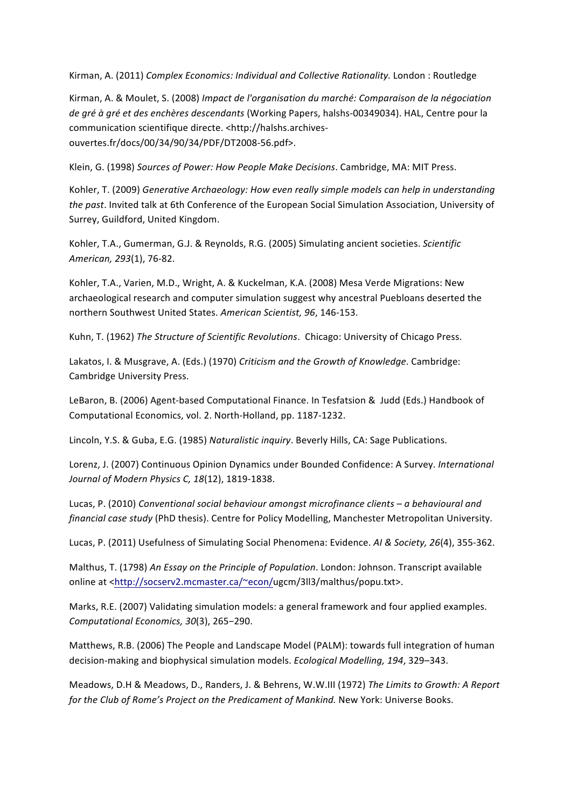Kirman, A. (2011) *Complex Economics: Individual and Collective Rationality.* London : Routledge

Kirman, A. & Moulet, S. (2008) *Impact de l'organisation du marché: Comparaison de la négociation de gré à gré et des enchères descendants* (Working Papers, halshs-00349034). HAL, Centre pour la communication scientifique directe. <http://halshs.archivesouvertes.fr/docs/00/34/90/34/PDF/DT2008-56.pdf>.

Klein, G. (1998) *Sources of Power: How People Make Decisions*. Cambridge, MA: MIT Press.

Kohler, T. (2009) *Generative Archaeology: How even really simple models can help in understanding the past*. Invited talk at 6th Conference of the European Social Simulation Association, University of Surrey, Guildford, United Kingdom.

Kohler, T.A., Gumerman, G.J. & Reynolds, R.G. (2005) Simulating ancient societies. *Scientific American, 293*(1), 76-82.

Kohler, T.A., Varien, M.D., Wright, A. & Kuckelman, K.A. (2008) Mesa Verde Migrations: New archaeological research and computer simulation suggest why ancestral Puebloans deserted the northern Southwest United States. American Scientist, 96, 146-153.

Kuhn, T. (1962) *The Structure of Scientific Revolutions*. Chicago: University of Chicago Press.

Lakatos, I. & Musgrave, A. (Eds.) (1970) *Criticism and the Growth of Knowledge*. Cambridge: Cambridge University Press.

LeBaron, B. (2006) Agent-based Computational Finance. In Tesfatsion & Judd (Eds.) Handbook of Computational Economics, vol. 2. North-Holland, pp. 1187-1232.

Lincoln, Y.S. & Guba, E.G. (1985) *Naturalistic inquiry*. Beverly Hills, CA: Sage Publications.

Lorenz, J. (2007) Continuous Opinion Dynamics under Bounded Confidence: A Survey. *International Journal of Modern Physics C, 18*(12), 1819-1838.

Lucas, P. (2010) Conventional social behaviour amongst microfinance clients - a behavioural and *financial case study* (PhD thesis). Centre for Policy Modelling, Manchester Metropolitan University.

Lucas, P. (2011) Usefulness of Simulating Social Phenomena: Evidence. *AI & Society, 26*(4), 355-362.

Malthus, T. (1798) An Essay on the Principle of Population. London: Johnson. Transcript available online at <http://socserv2.mcmaster.ca/~econ/ugcm/3ll3/malthus/popu.txt>.

Marks, R.E. (2007) Validating simulation models: a general framework and four applied examples. *Computational'Economics,'30*(3),#265−290.

Matthews, R.B. (2006) The People and Landscape Model (PALM): towards full integration of human decision-making and biophysical simulation models. *Ecological Modelling, 194*, 329–343.

Meadows,#D.H & Meadows,#D.,#Randers,#J.#&#Behrens,#W.W.III#(1972)#*The'Limits'to'Growth:'A'Report'* for the Club of Rome's Project on the Predicament of Mankind. New York: Universe Books.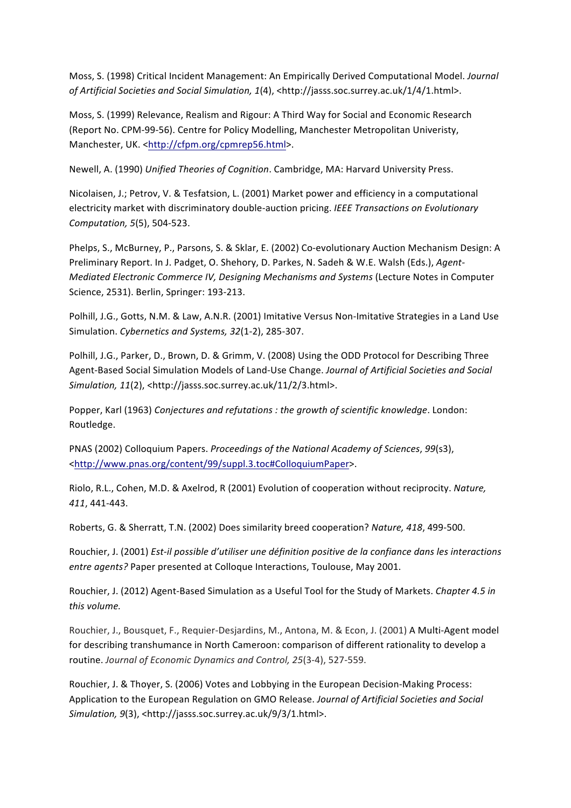Moss, S. (1998) Critical Incident Management: An Empirically Derived Computational Model. *Journal of Artificial Societies and Social Simulation,*  $1(4)$ , <http://jasss.soc.surrey.ac.uk/1/4/1.html>.

Moss, S. (1999) Relevance, Realism and Rigour: A Third Way for Social and Economic Research (Report No. CPM-99-56). Centre for Policy Modelling, Manchester Metropolitan Univeristy, Manchester, UK. <http://cfpm.org/cpmrep56.html>.

Newell, A. (1990) Unified Theories of Cognition. Cambridge, MA: Harvard University Press.

Nicolaisen, J.; Petrov, V. & Tesfatsion, L. (2001) Market power and efficiency in a computational electricity market with discriminatory double-auction pricing. *IEEE Transactions on Evolutionary Computation, 5(5), 504-523.* 

Phelps, S., McBurney, P., Parsons, S. & Sklar, E. (2002) Co-evolutionary Auction Mechanism Design: A Preliminary Report. In J. Padget, O. Shehory, D. Parkes, N. Sadeh & W.E. Walsh (Eds.), *Agent-Mediated Electronic Commerce IV, Designing Mechanisms and Systems* (Lecture Notes in Computer Science, 2531). Berlin, Springer: 193-213.

Polhill, J.G., Gotts, N.M. & Law, A.N.R. (2001) Imitative Versus Non-Imitative Strategies in a Land Use Simulation. *Cybernetics and Systems, 32*(1-2), 285-307.

Polhill, J.G., Parker, D., Brown, D. & Grimm, V. (2008) Using the ODD Protocol for Describing Three Agent-Based Social Simulation Models of Land-Use Change. *Journal of Artificial Societies and Social Simulation, 11*(2), <http://jasss.soc.surrey.ac.uk/11/2/3.html>.#

Popper, Karl (1963) *Conjectures and refutations : the growth of scientific knowledge*. London: Routledge.

PNAS (2002) Colloquium Papers. *Proceedings of the National Academy of Sciences*,  $99$ (s3), <http://www.pnas.org/content/99/suppl.3.toc#ColloquiumPaper>.

Riolo, R.L., Cohen, M.D. & Axelrod, R (2001) Evolution of cooperation without reciprocity. *Nature, 411*, 441-443.

Roberts, G. & Sherratt, T.N. (2002) Does similarity breed cooperation? *Nature, 418*, 499-500.

Rouchier,#J. (2001) *Est;il'possible'd'utiliser'une'définition'positive'de'la'confiance'dans'les'interactions' entre agents?* Paper presented at Colloque Interactions, Toulouse, May 2001.

Rouchier, J. (2012) Agent-Based Simulation as a Useful Tool for the Study of Markets. *Chapter 4.5 in this'volume.*

Rouchier, J., Bousquet, F., Requier-Desjardins, M., Antona, M. & Econ, J. (2001) A Multi-Agent model for describing transhumance in North Cameroon: comparison of different rationality to develop a routine. *Journal of Economic Dynamics and Control, 25*(3-4), 527-559.

Rouchier, J. & Thoyer, S. (2006) Votes and Lobbying in the European Decision-Making Process: Application to the European Regulation on GMO Release. *Journal of Artificial Societies and Social Simulation, 9*(3), <http://jasss.soc.surrey.ac.uk/9/3/1.html>.#